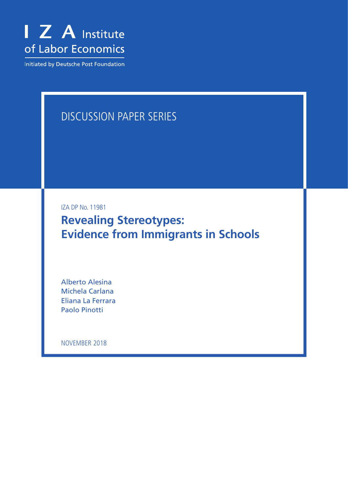

Initiated by Deutsche Post Foundation

# DISCUSSION PAPER SERIES

IZA DP No. 11981

**Revealing Stereotypes: Evidence from Immigrants in Schools**

Alberto Alesina Michela Carlana Eliana La Ferrara Paolo Pinotti

NOVEMBER 2018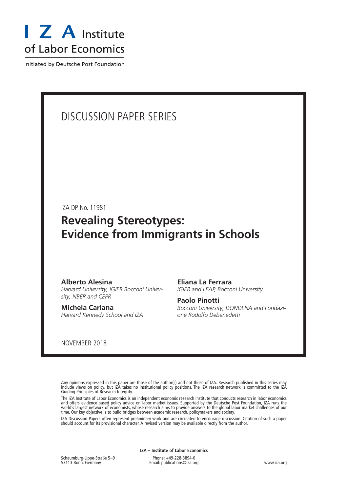

Initiated by Deutsche Post Foundation

# DISCUSSION PAPER SERIES

IZA DP No. 11981

# **Revealing Stereotypes: Evidence from Immigrants in Schools**

### **Alberto Alesina**

*Harvard University, IGIER Bocconi University, NBER and CEPR*

**Michela Carlana** *Harvard Kennedy School and IZA* **Eliana La Ferrara** *IGIER and LEAP, Bocconi University*

**Paolo Pinotti** *Bocconi University, DONDENA and Fondazione Rodolfo Debenedetti*

NOVEMBER 2018

Any opinions expressed in this paper are those of the author(s) and not those of IZA. Research published in this series may include views on policy, but IZA takes no institutional policy positions. The IZA research network is committed to the IZA Guiding Principles of Research Integrity.

The IZA Institute of Labor Economics is an independent economic research institute that conducts research in labor economics and offers evidence-based policy advice on labor market issues. Supported by the Deutsche Post Foundation, IZA runs the world's largest network of economists, whose research aims to provide answers to the global labor market challenges of our time. Our key objective is to build bridges between academic research, policymakers and society.

IZA Discussion Papers often represent preliminary work and are circulated to encourage discussion. Citation of such a paper should account for its provisional character. A revised version may be available directly from the author.

**IZA – Institute of Labor Economics**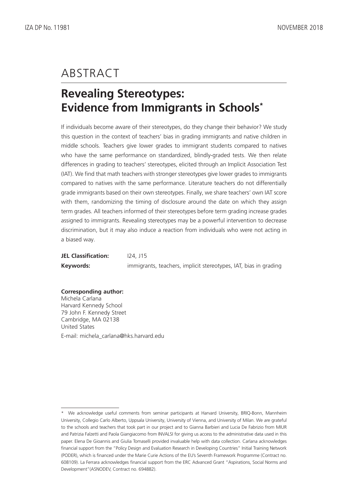# ABSTRACT

# **Revealing Stereotypes: Evidence from Immigrants in Schools\***

If individuals become aware of their stereotypes, do they change their behavior? We study this question in the context of teachers' bias in grading immigrants and native children in middle schools. Teachers give lower grades to immigrant students compared to natives who have the same performance on standardized, blindly-graded tests. We then relate differences in grading to teachers' stereotypes, elicited through an Implicit Association Test (IAT). We find that math teachers with stronger stereotypes give lower grades to immigrants compared to natives with the same performance. Literature teachers do not differentially grade immigrants based on their own stereotypes. Finally, we share teachers' own IAT score with them, randomizing the timing of disclosure around the date on which they assign term grades. All teachers informed of their stereotypes before term grading increase grades assigned to immigrants. Revealing stereotypes may be a powerful intervention to decrease discrimination, but it may also induce a reaction from individuals who were not acting in a biased way.

| <b>JEL Classification:</b> | $124.$ J15                                                       |
|----------------------------|------------------------------------------------------------------|
| Keywords:                  | immigrants, teachers, implicit stereotypes, IAT, bias in grading |

**Corresponding author:** Michela Carlana Harvard Kennedy School 79 John F. Kennedy Street Cambridge, MA 02138 United States E-mail: michela\_carlana@hks.harvard.edu

<sup>\*</sup> We acknowledge useful comments from seminar participants at Harvard University, BRIQ-Bonn, Mannheim University, Collegio Carlo Alberto, Uppsala University, University of Vienna, and University of Milan. We are grateful to the schools and teachers that took part in our project and to Gianna Barbieri and Lucia De Fabrizio from MIUR and Patrizia Falzetti and Paola Giangiacomo from INVALSI for giving us access to the administrative data used in this paper. Elena De Gioannis and Giulia Tomaselli provided invaluable help with data collection. Carlana acknowledges financial support from the "Policy Design and Evaluation Research in Developing Countries" Initial Training Network (PODER), which is financed under the Marie Curie Actions of the EU's Seventh Framework Programme (Contract no. 608109). La Ferrara acknowledges financial support from the ERC Advanced Grant "Aspirations, Social Norms and Development"(ASNODEV, Contract no. 694882).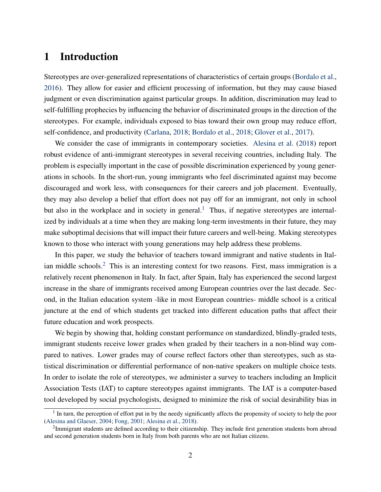# 1 Introduction

Stereotypes are over-generalized representations of characteristics of certain groups [\(Bordalo et al.,](#page-21-0) [2016\)](#page-21-0). They allow for easier and efficient processing of information, but they may cause biased judgment or even discrimination against particular groups. In addition, discrimination may lead to self-fulfilling prophecies by influencing the behavior of discriminated groups in the direction of the stereotypes. For example, individuals exposed to bias toward their own group may reduce effort, self-confidence, and productivity [\(Carlana,](#page-21-1) [2018;](#page-21-1) [Bordalo et al.,](#page-21-2) [2018;](#page-21-2) [Glover et al.,](#page-22-0) [2017\)](#page-22-0).

We consider the case of immigrants in contemporary societies. [Alesina et al.](#page-20-0) [\(2018\)](#page-20-0) report robust evidence of anti-immigrant stereotypes in several receiving countries, including Italy. The problem is especially important in the case of possible discrimination experienced by young generations in schools. In the short-run, young immigrants who feel discriminated against may become discouraged and work less, with consequences for their careers and job placement. Eventually, they may also develop a belief that effort does not pay off for an immigrant, not only in school but also in the workplace and in society in general.<sup>[1](#page-3-0)</sup> Thus, if negative stereotypes are internalized by individuals at a time when they are making long-term investments in their future, they may make suboptimal decisions that will impact their future careers and well-being. Making stereotypes known to those who interact with young generations may help address these problems.

In this paper, we study the behavior of teachers toward immigrant and native students in Ital-ian middle schools.<sup>[2](#page-3-1)</sup> This is an interesting context for two reasons. First, mass immigration is a relatively recent phenomenon in Italy. In fact, after Spain, Italy has experienced the second largest increase in the share of immigrants received among European countries over the last decade. Second, in the Italian education system -like in most European countries- middle school is a critical juncture at the end of which students get tracked into different education paths that affect their future education and work prospects.

We begin by showing that, holding constant performance on standardized, blindly-graded tests, immigrant students receive lower grades when graded by their teachers in a non-blind way compared to natives. Lower grades may of course reflect factors other than stereotypes, such as statistical discrimination or differential performance of non-native speakers on multiple choice tests. In order to isolate the role of stereotypes, we administer a survey to teachers including an Implicit Association Tests (IAT) to capture stereotypes against immigrants. The IAT is a computer-based tool developed by social psychologists, designed to minimize the risk of social desirability bias in

<span id="page-3-0"></span><sup>&</sup>lt;sup>1</sup> In turn, the perception of effort put in by the needy significantly affects the propensity of society to help the poor [\(Alesina and Glaeser,](#page-20-1) [2004;](#page-20-1) [Fong,](#page-22-1) [2001;](#page-22-1) [Alesina et al.,](#page-20-0) [2018\)](#page-20-0).

<span id="page-3-1"></span> $2$ Immigrant students are defined according to their citizenship. They include first generation students born abroad and second generation students born in Italy from both parents who are not Italian citizens.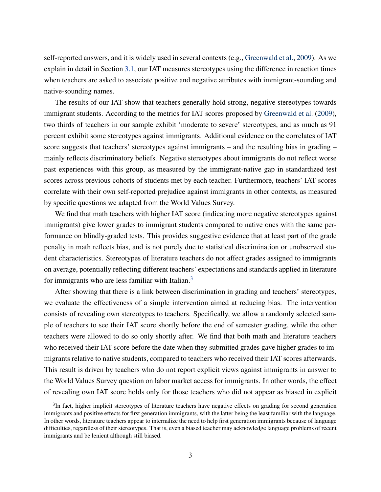self-reported answers, and it is widely used in several contexts (e.g., [Greenwald et al.,](#page-22-2) [2009\)](#page-22-2). As we explain in detail in Section [3.1,](#page-8-0) our IAT measures stereotypes using the difference in reaction times when teachers are asked to associate positive and negative attributes with immigrant-sounding and native-sounding names.

The results of our IAT show that teachers generally hold strong, negative stereotypes towards immigrant students. According to the metrics for IAT scores proposed by [Greenwald et al.](#page-22-2) [\(2009\)](#page-22-2), two thirds of teachers in our sample exhibit 'moderate to severe' stereotypes, and as much as 91 percent exhibit some stereotypes against immigrants. Additional evidence on the correlates of IAT score suggests that teachers' stereotypes against immigrants – and the resulting bias in grading – mainly reflects discriminatory beliefs. Negative stereotypes about immigrants do not reflect worse past experiences with this group, as measured by the immigrant-native gap in standardized test scores across previous cohorts of students met by each teacher. Furthermore, teachers' IAT scores correlate with their own self-reported prejudice against immigrants in other contexts, as measured by specific questions we adapted from the World Values Survey.

We find that math teachers with higher IAT score (indicating more negative stereotypes against immigrants) give lower grades to immigrant students compared to native ones with the same performance on blindly-graded tests. This provides suggestive evidence that at least part of the grade penalty in math reflects bias, and is not purely due to statistical discrimination or unobserved student characteristics. Stereotypes of literature teachers do not affect grades assigned to immigrants on average, potentially reflecting different teachers' expectations and standards applied in literature for immigrants who are less familiar with Italian.<sup>[3](#page-4-0)</sup>

After showing that there is a link between discrimination in grading and teachers' stereotypes, we evaluate the effectiveness of a simple intervention aimed at reducing bias. The intervention consists of revealing own stereotypes to teachers. Specifically, we allow a randomly selected sample of teachers to see their IAT score shortly before the end of semester grading, while the other teachers were allowed to do so only shortly after. We find that both math and literature teachers who received their IAT score before the date when they submitted grades gave higher grades to immigrants relative to native students, compared to teachers who received their IAT scores afterwards. This result is driven by teachers who do not report explicit views against immigrants in answer to the World Values Survey question on labor market access for immigrants. In other words, the effect of revealing own IAT score holds only for those teachers who did not appear as biased in explicit

<span id="page-4-0"></span><sup>&</sup>lt;sup>3</sup>In fact, higher implicit stereotypes of literature teachers have negative effects on grading for second generation immigrants and positive effects for first generation immigrants, with the latter being the least familiar with the language. In other words, literature teachers appear to internalize the need to help first generation immigrants because of language difficulties, regardless of their stereotypes. That is, even a biased teacher may acknowledge language problems of recent immigrants and be lenient although still biased.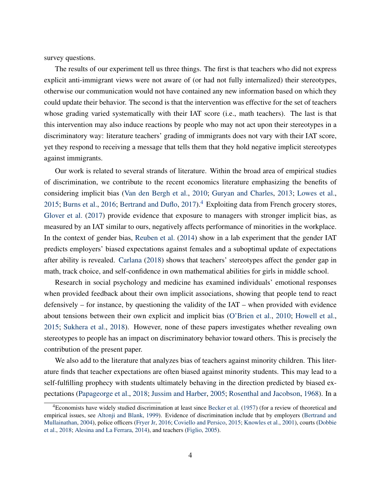survey questions.

The results of our experiment tell us three things. The first is that teachers who did not express explicit anti-immigrant views were not aware of (or had not fully internalized) their stereotypes, otherwise our communication would not have contained any new information based on which they could update their behavior. The second is that the intervention was effective for the set of teachers whose grading varied systematically with their IAT score (i.e., math teachers). The last is that this intervention may also induce reactions by people who may not act upon their stereotypes in a discriminatory way: literature teachers' grading of immigrants does not vary with their IAT score, yet they respond to receiving a message that tells them that they hold negative implicit stereotypes against immigrants.

Our work is related to several strands of literature. Within the broad area of empirical studies of discrimination, we contribute to the recent economics literature emphasizing the benefits of considering implicit bias [\(Van den Bergh et al.,](#page-24-0) [2010;](#page-24-0) [Guryan and Charles,](#page-22-3) [2013;](#page-22-3) [Lowes et al.,](#page-23-0) [2015;](#page-23-0) [Burns et al.,](#page-21-3) [2016;](#page-21-3) [Bertrand and Duflo,](#page-20-2) [2017\)](#page-20-2).<sup>[4](#page-5-0)</sup> Exploiting data from French grocery stores, [Glover et al.](#page-22-0) [\(2017\)](#page-22-0) provide evidence that exposure to managers with stronger implicit bias, as measured by an IAT similar to ours, negatively affects performance of minorities in the workplace. In the context of gender bias, [Reuben et al.](#page-24-1) [\(2014\)](#page-24-1) show in a lab experiment that the gender IAT predicts employers' biased expectations against females and a suboptimal update of expectations after ability is revealed. [Carlana](#page-21-1) [\(2018\)](#page-21-1) shows that teachers' stereotypes affect the gender gap in math, track choice, and self-confidence in own mathematical abilities for girls in middle school.

Research in social psychology and medicine has examined individuals' emotional responses when provided feedback about their own implicit associations, showing that people tend to react defensively – for instance, by questioning the validity of the IAT – when provided with evidence about tensions between their own explicit and implicit bias [\(O'Brien et al.,](#page-23-1) [2010;](#page-23-1) [Howell et al.,](#page-23-2) [2015;](#page-23-2) [Sukhera et al.,](#page-24-2) [2018\)](#page-24-2). However, none of these papers investigates whether revealing own stereotypes to people has an impact on discriminatory behavior toward others. This is precisely the contribution of the present paper.

We also add to the literature that analyzes bias of teachers against minority children. This literature finds that teacher expectations are often biased against minority students. This may lead to a self-fulfilling prophecy with students ultimately behaving in the direction predicted by biased expectations [\(Papageorge et al.,](#page-24-3) [2018;](#page-24-3) [Jussim and Harber,](#page-23-3) [2005;](#page-23-3) [Rosenthal and Jacobson,](#page-24-4) [1968\)](#page-24-4). In a

<span id="page-5-0"></span><sup>4</sup>Economists have widely studied discrimination at least since [Becker et al.](#page-20-3) [\(1957\)](#page-20-3) (for a review of theoretical and empirical issues, see [Altonji and Blank,](#page-20-4) [1999\)](#page-20-4). Evidence of discrimination include that by employers [\(Bertrand and](#page-20-5) [Mullainathan,](#page-20-5) [2004\)](#page-20-5), police officers [\(Fryer Jr,](#page-22-4) [2016;](#page-22-4) [Coviello and Persico,](#page-21-4) [2015;](#page-21-4) [Knowles et al.,](#page-23-4) [2001\)](#page-23-4), courts [\(Dobbie](#page-21-5) [et al.,](#page-21-5) [2018;](#page-21-5) [Alesina and La Ferrara,](#page-20-6) [2014\)](#page-20-6), and teachers [\(Figlio,](#page-22-5) [2005\)](#page-22-5).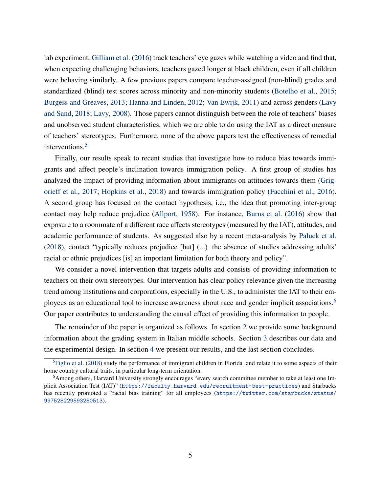lab experiment, [Gilliam et al.](#page-22-6) [\(2016\)](#page-22-6) track teachers' eye gazes while watching a video and find that, when expecting challenging behaviors, teachers gazed longer at black children, even if all children were behaving similarly. A few previous papers compare teacher-assigned (non-blind) grades and standardized (blind) test scores across minority and non-minority students [\(Botelho et al.,](#page-21-6) [2015;](#page-21-6) [Burgess and Greaves,](#page-21-7) [2013;](#page-21-7) [Hanna and Linden,](#page-22-7) [2012;](#page-22-7) [Van Ewijk,](#page-24-5) [2011\)](#page-24-5) and across genders [\(Lavy](#page-23-5) [and Sand,](#page-23-5) [2018;](#page-23-5) [Lavy,](#page-23-6) [2008\)](#page-23-6). Those papers cannot distinguish between the role of teachers' biases and unobserved student characteristics, which we are able to do using the IAT as a direct measure of teachers' stereotypes. Furthermore, none of the above papers test the effectiveness of remedial interventions.<sup>[5](#page-6-0)</sup>

Finally, our results speak to recent studies that investigate how to reduce bias towards immigrants and affect people's inclination towards immigration policy. A first group of studies has analyzed the impact of providing information about immigrants on attitudes towards them [\(Grig](#page-22-8)[orieff et al.,](#page-22-8) [2017;](#page-22-8) [Hopkins et al.,](#page-22-9) [2018\)](#page-22-9) and towards immigration policy [\(Facchini et al.,](#page-22-10) [2016\)](#page-22-10). A second group has focused on the contact hypothesis, i.e., the idea that promoting inter-group contact may help reduce prejudice [\(Allport,](#page-20-7) [1958\)](#page-20-7). For instance, [Burns et al.](#page-21-3) [\(2016\)](#page-21-3) show that exposure to a roommate of a different race affects stereotypes (measured by the IAT), attitudes, and academic performance of students. As suggested also by a recent meta-analysis by [Paluck et al.](#page-24-6) [\(2018\)](#page-24-6), contact "typically reduces prejudice [but] (...) the absence of studies addressing adults' racial or ethnic prejudices [is] an important limitation for both theory and policy".

We consider a novel intervention that targets adults and consists of providing information to teachers on their own stereotypes. Our intervention has clear policy relevance given the increasing trend among institutions and corporations, especially in the U.S., to administer the IAT to their em-ployees as an educational tool to increase awareness about race and gender implicit associations.<sup>[6](#page-6-1)</sup> Our paper contributes to understanding the causal effect of providing this information to people.

The remainder of the paper is organized as follows. In section [2](#page-7-0) we provide some background information about the grading system in Italian middle schools. Section [3](#page-8-1) describes our data and the experimental design. In section [4](#page-14-0) we present our results, and the last section concludes.

<span id="page-6-0"></span><sup>5</sup>[Figlio et al.](#page-22-11) [\(2018\)](#page-22-11) study the performance of immigrant children in Florida and relate it to some aspects of their home country cultural traits, in particular long-term orientation.

<span id="page-6-1"></span><sup>6</sup>Among others, Harvard University strongly encourages "every search committee member to take at least one Implicit Association Test (IAT)" (<https://faculty.harvard.edu/recruitment-best-practices>) and Starbucks has recently promoted a "racial bias training" for all employees ([https://twitter.com/starbucks/status/](https://twitter.com/starbucks/status/997528229593280513) [997528229593280513](https://twitter.com/starbucks/status/997528229593280513)).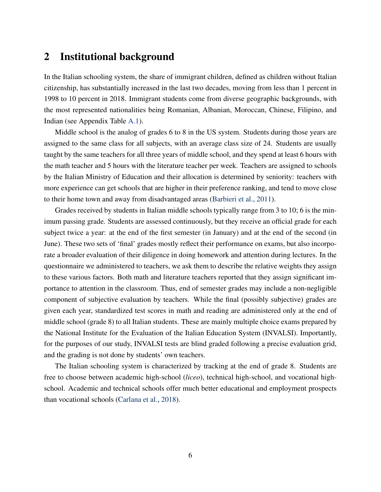## <span id="page-7-0"></span>2 Institutional background

In the Italian schooling system, the share of immigrant children, defined as children without Italian citizenship, has substantially increased in the last two decades, moving from less than 1 percent in 1998 to 10 percent in 2018. Immigrant students come from diverse geographic backgrounds, with the most represented nationalities being Romanian, Albanian, Moroccan, Chinese, Filipino, and Indian (see Appendix Table [A.1\)](#page-29-0).

Middle school is the analog of grades 6 to 8 in the US system. Students during those years are assigned to the same class for all subjects, with an average class size of 24. Students are usually taught by the same teachers for all three years of middle school, and they spend at least 6 hours with the math teacher and 5 hours with the literature teacher per week. Teachers are assigned to schools by the Italian Ministry of Education and their allocation is determined by seniority: teachers with more experience can get schools that are higher in their preference ranking, and tend to move close to their home town and away from disadvantaged areas [\(Barbieri et al.,](#page-20-8) [2011\)](#page-20-8).

Grades received by students in Italian middle schools typically range from 3 to 10; 6 is the minimum passing grade. Students are assessed continuously, but they receive an official grade for each subject twice a year: at the end of the first semester (in January) and at the end of the second (in June). These two sets of 'final' grades mostly reflect their performance on exams, but also incorporate a broader evaluation of their diligence in doing homework and attention during lectures. In the questionnaire we administered to teachers, we ask them to describe the relative weights they assign to these various factors. Both math and literature teachers reported that they assign significant importance to attention in the classroom. Thus, end of semester grades may include a non-negligible component of subjective evaluation by teachers. While the final (possibly subjective) grades are given each year, standardized test scores in math and reading are administered only at the end of middle school (grade 8) to all Italian students. These are mainly multiple choice exams prepared by the National Institute for the Evaluation of the Italian Education System (INVALSI). Importantly, for the purposes of our study, INVALSI tests are blind graded following a precise evaluation grid, and the grading is not done by students' own teachers.

The Italian schooling system is characterized by tracking at the end of grade 8. Students are free to choose between academic high-school (*liceo*), technical high-school, and vocational highschool. Academic and technical schools offer much better educational and employment prospects than vocational schools [\(Carlana et al.,](#page-21-8) [2018\)](#page-21-8).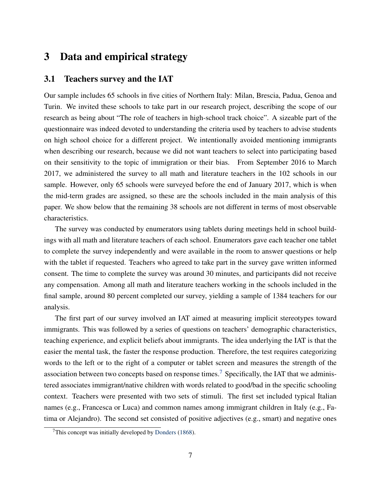## <span id="page-8-1"></span>3 Data and empirical strategy

## <span id="page-8-0"></span>3.1 Teachers survey and the IAT

Our sample includes 65 schools in five cities of Northern Italy: Milan, Brescia, Padua, Genoa and Turin. We invited these schools to take part in our research project, describing the scope of our research as being about "The role of teachers in high-school track choice". A sizeable part of the questionnaire was indeed devoted to understanding the criteria used by teachers to advise students on high school choice for a different project. We intentionally avoided mentioning immigrants when describing our research, because we did not want teachers to select into participating based on their sensitivity to the topic of immigration or their bias. From September 2016 to March 2017, we administered the survey to all math and literature teachers in the 102 schools in our sample. However, only 65 schools were surveyed before the end of January 2017, which is when the mid-term grades are assigned, so these are the schools included in the main analysis of this paper. We show below that the remaining 38 schools are not different in terms of most observable characteristics.

The survey was conducted by enumerators using tablets during meetings held in school buildings with all math and literature teachers of each school. Enumerators gave each teacher one tablet to complete the survey independently and were available in the room to answer questions or help with the tablet if requested. Teachers who agreed to take part in the survey gave written informed consent. The time to complete the survey was around 30 minutes, and participants did not receive any compensation. Among all math and literature teachers working in the schools included in the final sample, around 80 percent completed our survey, yielding a sample of 1384 teachers for our analysis.

The first part of our survey involved an IAT aimed at measuring implicit stereotypes toward immigrants. This was followed by a series of questions on teachers' demographic characteristics, teaching experience, and explicit beliefs about immigrants. The idea underlying the IAT is that the easier the mental task, the faster the response production. Therefore, the test requires categorizing words to the left or to the right of a computer or tablet screen and measures the strength of the association between two concepts based on response times.<sup>[7](#page-8-2)</sup> Specifically, the IAT that we administered associates immigrant/native children with words related to good/bad in the specific schooling context. Teachers were presented with two sets of stimuli. The first set included typical Italian names (e.g., Francesca or Luca) and common names among immigrant children in Italy (e.g., Fatima or Alejandro). The second set consisted of positive adjectives (e.g., smart) and negative ones

<span id="page-8-2"></span> $7$ This concept was initially developed by [Donders](#page-21-9) [\(1868\)](#page-21-9).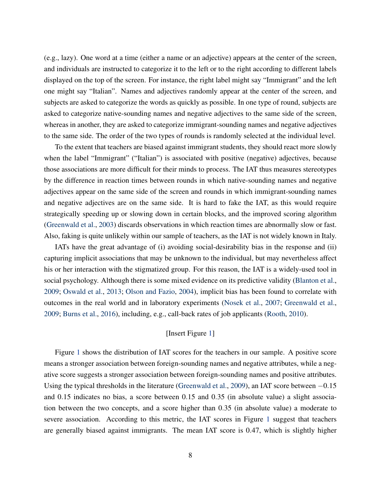(e.g., lazy). One word at a time (either a name or an adjective) appears at the center of the screen, and individuals are instructed to categorize it to the left or to the right according to different labels displayed on the top of the screen. For instance, the right label might say "Immigrant" and the left one might say "Italian". Names and adjectives randomly appear at the center of the screen, and subjects are asked to categorize the words as quickly as possible. In one type of round, subjects are asked to categorize native-sounding names and negative adjectives to the same side of the screen, whereas in another, they are asked to categorize immigrant-sounding names and negative adjectives to the same side. The order of the two types of rounds is randomly selected at the individual level.

To the extent that teachers are biased against immigrant students, they should react more slowly when the label "Immigrant" ("Italian") is associated with positive (negative) adjectives, because those associations are more difficult for their minds to process. The IAT thus measures stereotypes by the difference in reaction times between rounds in which native-sounding names and negative adjectives appear on the same side of the screen and rounds in which immigrant-sounding names and negative adjectives are on the same side. It is hard to fake the IAT, as this would require strategically speeding up or slowing down in certain blocks, and the improved scoring algorithm [\(Greenwald et al.,](#page-22-12) [2003\)](#page-22-12) discards observations in which reaction times are abnormally slow or fast. Also, faking is quite unlikely within our sample of teachers, as the IAT is not widely known in Italy.

IATs have the great advantage of (i) avoiding social-desirability bias in the response and (ii) capturing implicit associations that may be unknown to the individual, but may nevertheless affect his or her interaction with the stigmatized group. For this reason, the IAT is a widely-used tool in social psychology. Although there is some mixed evidence on its predictive validity [\(Blanton et al.,](#page-21-10) [2009;](#page-21-10) [Oswald et al.,](#page-24-7) [2013;](#page-24-7) [Olson and Fazio,](#page-23-7) [2004\)](#page-23-7), implicit bias has been found to correlate with outcomes in the real world and in laboratory experiments [\(Nosek et al.,](#page-23-8) [2007;](#page-23-8) [Greenwald et al.,](#page-22-2) [2009;](#page-22-2) [Burns et al.,](#page-21-3) [2016\)](#page-21-3), including, e.g., call-back rates of job applicants [\(Rooth,](#page-24-8) [2010\)](#page-24-8).

## [Insert Figure [1\]](#page-25-0)

Figure [1](#page-25-0) shows the distribution of IAT scores for the teachers in our sample. A positive score means a stronger association between foreign-sounding names and negative attributes, while a negative score suggests a stronger association between foreign-sounding names and positive attributes. Using the typical thresholds in the literature [\(Greenwald et al.,](#page-22-2) [2009\)](#page-22-2), an IAT score between −0.15 and 0.15 indicates no bias, a score between 0.15 and 0.35 (in absolute value) a slight association between the two concepts, and a score higher than 0.35 (in absolute value) a moderate to severe association. According to this metric, the IAT scores in Figure [1](#page-25-0) suggest that teachers are generally biased against immigrants. The mean IAT score is 0.47, which is slightly higher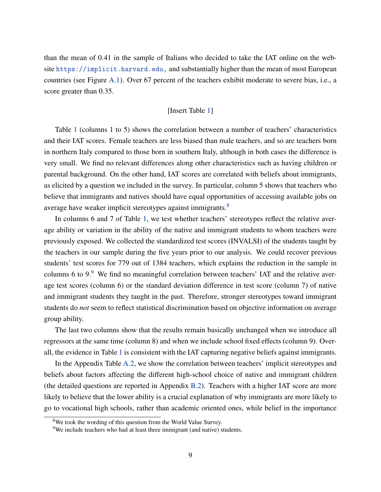than the mean of 0.41 in the sample of Italians who decided to take the IAT online on the website <https://implicit.harvard.edu,> and substantially higher than the mean of most European countries (see Figure [A.1\)](#page-25-0). Over 67 percent of the teachers exhibit moderate to severe bias, i.e., a score greater than 0.35.

### [Insert Table [1\]](#page-29-0)

Table [1](#page-29-0) (columns 1 to 5) shows the correlation between a number of teachers' characteristics and their IAT scores. Female teachers are less biased than male teachers, and so are teachers born in northern Italy compared to those born in southern Italy, although in both cases the difference is very small. We find no relevant differences along other characteristics such as having children or parental background. On the other hand, IAT scores are correlated with beliefs about immigrants, as elicited by a question we included in the survey. In particular, column 5 shows that teachers who believe that immigrants and natives should have equal opportunities of accessing available jobs on average have weaker implicit stereotypes against immigrants.<sup>[8](#page-10-0)</sup>

In columns 6 and 7 of Table [1,](#page-29-0) we test whether teachers' stereotypes reflect the relative average ability or variation in the ability of the native and immigrant students to whom teachers were previously exposed. We collected the standardized test scores (INVALSI) of the students taught by the teachers in our sample during the five years prior to our analysis. We could recover previous students' test scores for 779 out of 1384 teachers, which explains the reduction in the sample in columns 6 to  $9.9$  $9.9$  We find no meaningful correlation between teachers' IAT and the relative average test scores (column 6) or the standard deviation difference in test score (column 7) of native and immigrant students they taught in the past. Therefore, stronger stereotypes toward immigrant students do *not* seem to reflect statistical discrimination based on objective information on average group ability.

The last two columns show that the results remain basically unchanged when we introduce all regressors at the same time (column 8) and when we include school fixed effects (column 9). Overall, the evidence in Table [1](#page-29-0) is consistent with the IAT capturing negative beliefs against immigrants.

In the Appendix Table [A.2,](#page-30-0) we show the correlation between teachers' implicit stereotypes and beliefs about factors affecting the different high-school choice of native and immigrant children (the detailed questions are reported in Appendix [B.2\)](#page-46-0). Teachers with a higher IAT score are more likely to believe that the lower ability is a crucial explanation of why immigrants are more likely to go to vocational high schools, rather than academic oriented ones, while belief in the importance

<span id="page-10-0"></span><sup>&</sup>lt;sup>8</sup>We took the wording of this question from the World Value Survey.

<span id="page-10-1"></span><sup>&</sup>lt;sup>9</sup>We include teachers who had at least three immigrant (and native) students.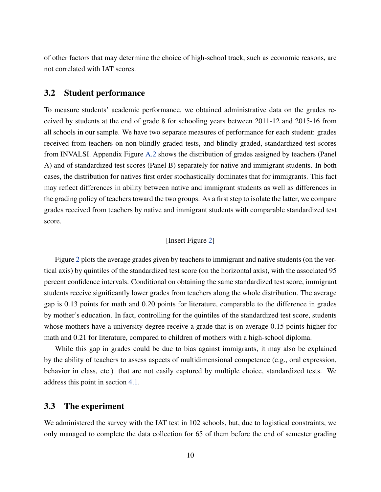of other factors that may determine the choice of high-school track, such as economic reasons, are not correlated with IAT scores.

## 3.2 Student performance

To measure students' academic performance, we obtained administrative data on the grades received by students at the end of grade 8 for schooling years between 2011-12 and 2015-16 from all schools in our sample. We have two separate measures of performance for each student: grades received from teachers on non-blindly graded tests, and blindly-graded, standardized test scores from INVALSI. Appendix Figure [A.2](#page-26-0) shows the distribution of grades assigned by teachers (Panel A) and of standardized test scores (Panel B) separately for native and immigrant students. In both cases, the distribution for natives first order stochastically dominates that for immigrants. This fact may reflect differences in ability between native and immigrant students as well as differences in the grading policy of teachers toward the two groups. As a first step to isolate the latter, we compare grades received from teachers by native and immigrant students with comparable standardized test score.

## [Insert Figure [2\]](#page-26-0)

Figure [2](#page-26-0) plots the average grades given by teachers to immigrant and native students (on the vertical axis) by quintiles of the standardized test score (on the horizontal axis), with the associated 95 percent confidence intervals. Conditional on obtaining the same standardized test score, immigrant students receive significantly lower grades from teachers along the whole distribution. The average gap is 0.13 points for math and 0.20 points for literature, comparable to the difference in grades by mother's education. In fact, controlling for the quintiles of the standardized test score, students whose mothers have a university degree receive a grade that is on average 0.15 points higher for math and 0.21 for literature, compared to children of mothers with a high-school diploma.

While this gap in grades could be due to bias against immigrants, it may also be explained by the ability of teachers to assess aspects of multidimensional competence (e.g., oral expression, behavior in class, etc.) that are not easily captured by multiple choice, standardized tests. We address this point in section [4.1.](#page-14-1)

## 3.3 The experiment

We administered the survey with the IAT test in 102 schools, but, due to logistical constraints, we only managed to complete the data collection for 65 of them before the end of semester grading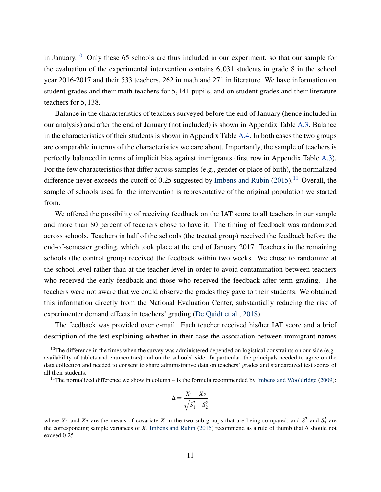in January.<sup>[10](#page-12-0)</sup> Only these 65 schools are thus included in our experiment, so that our sample for the evaluation of the experimental intervention contains 6,031 students in grade 8 in the school year 2016-2017 and their 533 teachers, 262 in math and 271 in literature. We have information on student grades and their math teachers for 5,141 pupils, and on student grades and their literature teachers for 5,138.

Balance in the characteristics of teachers surveyed before the end of January (hence included in our analysis) and after the end of January (not included) is shown in Appendix Table [A.3.](#page-31-0) Balance in the characteristics of their students is shown in Appendix Table [A.4.](#page-32-0) In both cases the two groups are comparable in terms of the characteristics we care about. Importantly, the sample of teachers is perfectly balanced in terms of implicit bias against immigrants (first row in Appendix Table [A.3\)](#page-31-0). For the few characteristics that differ across samples (e.g., gender or place of birth), the normalized difference never exceeds the cutoff of 0.25 suggested by [Imbens and Rubin](#page-23-9)  $(2015)$ .<sup>[11](#page-12-1)</sup> Overall, the sample of schools used for the intervention is representative of the original population we started from.

We offered the possibility of receiving feedback on the IAT score to all teachers in our sample and more than 80 percent of teachers chose to have it. The timing of feedback was randomized across schools. Teachers in half of the schools (the treated group) received the feedback before the end-of-semester grading, which took place at the end of January 2017. Teachers in the remaining schools (the control group) received the feedback within two weeks. We chose to randomize at the school level rather than at the teacher level in order to avoid contamination between teachers who received the early feedback and those who received the feedback after term grading. The teachers were not aware that we could observe the grades they gave to their students. We obtained this information directly from the National Evaluation Center, substantially reducing the risk of experimenter demand effects in teachers' grading [\(De Quidt et al.,](#page-21-11) [2018\)](#page-21-11).

The feedback was provided over e-mail. Each teacher received his/her IAT score and a brief description of the test explaining whether in their case the association between immigrant names

$$
\Delta = \frac{\overline{X}_1 - \overline{X}_2}{\sqrt{S_1^2 + S_2^2}}
$$

<span id="page-12-0"></span><sup>&</sup>lt;sup>10</sup>The difference in the times when the survey was administered depended on logistical constraints on our side (e.g., availability of tablets and enumerators) and on the schools' side. In particular, the principals needed to agree on the data collection and needed to consent to share administrative data on teachers' grades and standardized test scores of all their students.

<span id="page-12-1"></span><sup>&</sup>lt;sup>11</sup>The normalized difference we show in column 4 is the formula recommended by [Imbens and Wooldridge](#page-23-10) [\(2009\)](#page-23-10):

where  $\overline{X}_1$  and  $\overline{X}_2$  are the means of covariate *X* in the two sub-groups that are being compared, and  $S_1^2$  and  $S_2^2$  are the corresponding sample variances of *X*. [Imbens and Rubin](#page-23-9) [\(2015\)](#page-23-9) recommend as a rule of thumb that  $\Delta$  should not exceed 0.25.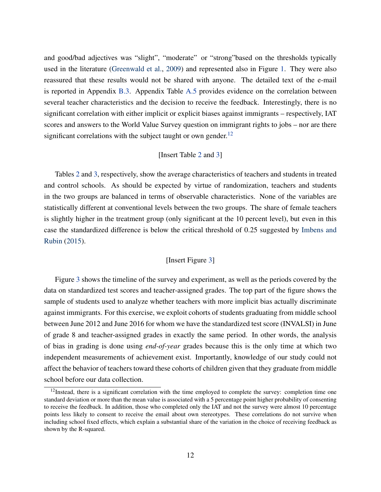and good/bad adjectives was "slight", "moderate" or "strong"based on the thresholds typically used in the literature [\(Greenwald et al.,](#page-22-2) [2009\)](#page-22-2) and represented also in Figure [1.](#page-25-0) They were also reassured that these results would not be shared with anyone. The detailed text of the e-mail is reported in Appendix [B.3.](#page-47-0) Appendix Table [A.5](#page-33-0) provides evidence on the correlation between several teacher characteristics and the decision to receive the feedback. Interestingly, there is no significant correlation with either implicit or explicit biases against immigrants – respectively, IAT scores and answers to the World Value Survey question on immigrant rights to jobs – nor are there significant correlations with the subject taught or own gender.<sup>[12](#page-13-0)</sup>

### [Insert Table [2](#page-30-0) and [3\]](#page-31-0)

Tables [2](#page-30-0) and [3,](#page-31-0) respectively, show the average characteristics of teachers and students in treated and control schools. As should be expected by virtue of randomization, teachers and students in the two groups are balanced in terms of observable characteristics. None of the variables are statistically different at conventional levels between the two groups. The share of female teachers is slightly higher in the treatment group (only significant at the 10 percent level), but even in this case the standardized difference is below the critical threshold of 0.25 suggested by [Imbens and](#page-23-9) [Rubin](#page-23-9) [\(2015\)](#page-23-9).

### [Insert Figure [3\]](#page-27-0)

Figure [3](#page-27-0) shows the timeline of the survey and experiment, as well as the periods covered by the data on standardized test scores and teacher-assigned grades. The top part of the figure shows the sample of students used to analyze whether teachers with more implicit bias actually discriminate against immigrants. For this exercise, we exploit cohorts of students graduating from middle school between June 2012 and June 2016 for whom we have the standardized test score (INVALSI) in June of grade 8 and teacher-assigned grades in exactly the same period. In other words, the analysis of bias in grading is done using *end-of-year* grades because this is the only time at which two independent measurements of achievement exist. Importantly, knowledge of our study could not affect the behavior of teachers toward these cohorts of children given that they graduate from middle school before our data collection.

<span id="page-13-0"></span> $12$ Instead, there is a significant correlation with the time employed to complete the survey: completion time one standard deviation or more than the mean value is associated with a 5 percentage point higher probability of consenting to receive the feedback. In addition, those who completed only the IAT and not the survey were almost 10 percentage points less likely to consent to receive the email about own stereotypes. These correlations do not survive when including school fixed effects, which explain a substantial share of the variation in the choice of receiving feedback as shown by the R-squared.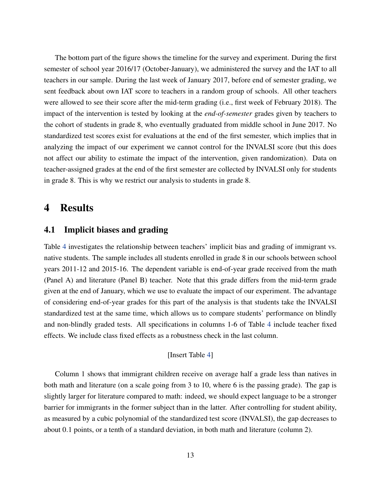The bottom part of the figure shows the timeline for the survey and experiment. During the first semester of school year 2016/17 (October-January), we administered the survey and the IAT to all teachers in our sample. During the last week of January 2017, before end of semester grading, we sent feedback about own IAT score to teachers in a random group of schools. All other teachers were allowed to see their score after the mid-term grading (i.e., first week of February 2018). The impact of the intervention is tested by looking at the *end-of-semester* grades given by teachers to the cohort of students in grade 8, who eventually graduated from middle school in June 2017. No standardized test scores exist for evaluations at the end of the first semester, which implies that in analyzing the impact of our experiment we cannot control for the INVALSI score (but this does not affect our ability to estimate the impact of the intervention, given randomization). Data on teacher-assigned grades at the end of the first semester are collected by INVALSI only for students in grade 8. This is why we restrict our analysis to students in grade 8.

## <span id="page-14-0"></span>4 Results

## <span id="page-14-1"></span>4.1 Implicit biases and grading

Table [4](#page-32-0) investigates the relationship between teachers' implicit bias and grading of immigrant vs. native students. The sample includes all students enrolled in grade 8 in our schools between school years 2011-12 and 2015-16. The dependent variable is end-of-year grade received from the math (Panel A) and literature (Panel B) teacher. Note that this grade differs from the mid-term grade given at the end of January, which we use to evaluate the impact of our experiment. The advantage of considering end-of-year grades for this part of the analysis is that students take the INVALSI standardized test at the same time, which allows us to compare students' performance on blindly and non-blindly graded tests. All specifications in columns 1-6 of Table [4](#page-32-0) include teacher fixed effects. We include class fixed effects as a robustness check in the last column.

### [Insert Table [4\]](#page-32-0)

Column 1 shows that immigrant children receive on average half a grade less than natives in both math and literature (on a scale going from 3 to 10, where 6 is the passing grade). The gap is slightly larger for literature compared to math: indeed, we should expect language to be a stronger barrier for immigrants in the former subject than in the latter. After controlling for student ability, as measured by a cubic polynomial of the standardized test score (INVALSI), the gap decreases to about 0.1 points, or a tenth of a standard deviation, in both math and literature (column 2).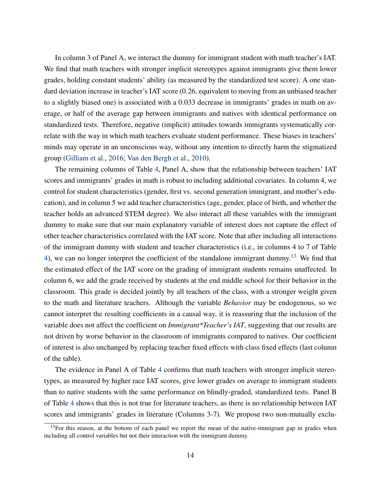In column 3 of Panel A, we interact the dummy for immigrant student with math teacher's IAT. We find that math teachers with stronger implicit stereotypes against immigrants give them lower grades, holding constant students' ability (as measured by the standardized test score). A one standard deviation increase in teacher's IAT score (0.26, equivalent to moving from an unbiased teacher to a slightly biased one) is associated with a 0.033 decrease in immigrants' grades in math on average, or half of the average gap between immigrants and natives with identical performance on standardized tests. Therefore, negative (implicit) attitudes towards immigrants systematically correlate with the way in which math teachers evaluate student performance. These biases in teachers' minds may operate in an unconscious way, without any intention to directly harm the stigmatized group [\(Gilliam et al.,](#page-22-6) [2016;](#page-22-6) [Van den Bergh et al.,](#page-24-0) [2010\)](#page-24-0).

The remaining columns of Table [4,](#page-32-0) Panel A, show that the relationship between teachers' IAT scores and immigrants' grades in math is robust to including additional covariates. In column 4, we control for student characteristics (gender, first vs. second generation immigrant, and mother's education), and in column 5 we add teacher characteristics (age, gender, place of birth, and whether the teacher holds an advanced STEM degree). We also interact all these variables with the immigrant dummy to make sure that our main explanatory variable of interest does not capture the effect of other teacher characteristics correlated with the IAT score. Note that after including all interactions of the immigrant dummy with student and teacher characteristics (i.e., in columns 4 to 7 of Table [4\)](#page-32-0), we can no longer interpret the coefficient of the standalone immigrant dummy.<sup>[13](#page-15-0)</sup> We find that the estimated effect of the IAT score on the grading of immigrant students remains unaffected. In column 6, we add the grade received by students at the end middle school for their behavior in the classroom. This grade is decided jointly by all teachers of the class, with a stronger weight given to the math and literature teachers. Although the variable *Behavior* may be endogenous, so we cannot interpret the resulting coefficients in a causal way, it is reassuring that the inclusion of the variable does not affect the coefficient on *Immigrant\*Teacher's IAT*, suggesting that our results are not driven by worse behavior in the classroom of immigrants compared to natives. Our coefficient of interest is also unchanged by replacing teacher fixed effects with class fixed effects (last column of the table).

The evidence in Panel A of Table [4](#page-32-0) confirms that math teachers with stronger implicit stereotypes, as measured by higher race IAT scores, give lower grades on average to immigrant students than to native students with the same performance on blindly-graded, standardized tests. Panel B of Table [4](#page-32-0) shows that this is not true for literature teachers, as there is no relationship between IAT scores and immigrants' grades in literature (Columns 3-7). We propose two non-mutually exclu-

<span id="page-15-0"></span> $13$ For this reason, at the bottom of each panel we report the mean of the native-immigrant gap in grades when including all control variables but not their interaction with the immigrant dummy.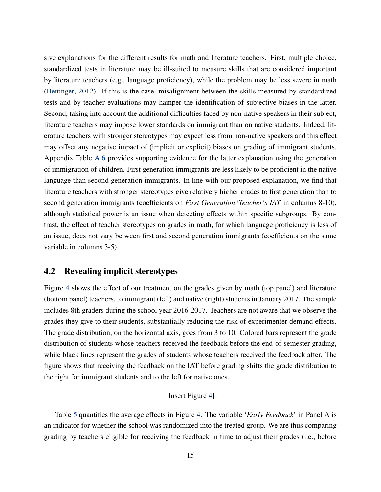sive explanations for the different results for math and literature teachers. First, multiple choice, standardized tests in literature may be ill-suited to measure skills that are considered important by literature teachers (e.g., language proficiency), while the problem may be less severe in math [\(Bettinger,](#page-21-12) [2012\)](#page-21-12). If this is the case, misalignment between the skills measured by standardized tests and by teacher evaluations may hamper the identification of subjective biases in the latter. Second, taking into account the additional difficulties faced by non-native speakers in their subject, literature teachers may impose lower standards on immigrant than on native students. Indeed, literature teachers with stronger stereotypes may expect less from non-native speakers and this effect may offset any negative impact of (implicit or explicit) biases on grading of immigrant students. Appendix Table [A.6](#page-34-0) provides supporting evidence for the latter explanation using the generation of immigration of children. First generation immigrants are less likely to be proficient in the native language than second generation immigrants. In line with our proposed explanation, we find that literature teachers with stronger stereotypes give relatively higher grades to first generation than to second generation immigrants (coefficients on *First Generation\*Teacher's IAT* in columns 8-10), although statistical power is an issue when detecting effects within specific subgroups. By contrast, the effect of teacher stereotypes on grades in math, for which language proficiency is less of an issue, does not vary between first and second generation immigrants (coefficients on the same variable in columns 3-5).

## 4.2 Revealing implicit stereotypes

Figure [4](#page-28-0) shows the effect of our treatment on the grades given by math (top panel) and literature (bottom panel) teachers, to immigrant (left) and native (right) students in January 2017. The sample includes 8th graders during the school year 2016-2017. Teachers are not aware that we observe the grades they give to their students, substantially reducing the risk of experimenter demand effects. The grade distribution, on the horizontal axis, goes from 3 to 10. Colored bars represent the grade distribution of students whose teachers received the feedback before the end-of-semester grading, while black lines represent the grades of students whose teachers received the feedback after. The figure shows that receiving the feedback on the IAT before grading shifts the grade distribution to the right for immigrant students and to the left for native ones.

## [Insert Figure [4\]](#page-28-0)

Table [5](#page-33-0) quantifies the average effects in Figure [4.](#page-28-0) The variable '*Early Feedback*' in Panel A is an indicator for whether the school was randomized into the treated group. We are thus comparing grading by teachers eligible for receiving the feedback in time to adjust their grades (i.e., before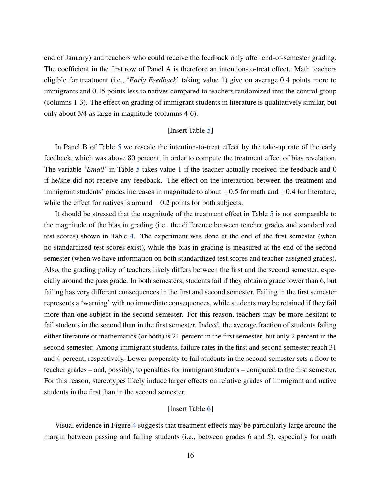end of January) and teachers who could receive the feedback only after end-of-semester grading. The coefficient in the first row of Panel A is therefore an intention-to-treat effect. Math teachers eligible for treatment (i.e., '*Early Feedback*' taking value 1) give on average 0.4 points more to immigrants and 0.15 points less to natives compared to teachers randomized into the control group (columns 1-3). The effect on grading of immigrant students in literature is qualitatively similar, but only about 3/4 as large in magnitude (columns 4-6).

#### [Insert Table [5\]](#page-33-0)

In Panel B of Table [5](#page-33-0) we rescale the intention-to-treat effect by the take-up rate of the early feedback, which was above 80 percent, in order to compute the treatment effect of bias revelation. The variable '*Email*' in Table [5](#page-33-0) takes value 1 if the teacher actually received the feedback and 0 if he/she did not receive any feedback. The effect on the interaction between the treatment and immigrant students' grades increases in magnitude to about  $+0.5$  for math and  $+0.4$  for literature, while the effect for natives is around  $-0.2$  points for both subjects.

It should be stressed that the magnitude of the treatment effect in Table [5](#page-33-0) is not comparable to the magnitude of the bias in grading (i.e., the difference between teacher grades and standardized test scores) shown in Table [4.](#page-32-0) The experiment was done at the end of the first semester (when no standardized test scores exist), while the bias in grading is measured at the end of the second semester (when we have information on both standardized test scores and teacher-assigned grades). Also, the grading policy of teachers likely differs between the first and the second semester, especially around the pass grade. In both semesters, students fail if they obtain a grade lower than 6, but failing has very different consequences in the first and second semester. Failing in the first semester represents a 'warning' with no immediate consequences, while students may be retained if they fail more than one subject in the second semester. For this reason, teachers may be more hesitant to fail students in the second than in the first semester. Indeed, the average fraction of students failing either literature or mathematics (or both) is 21 percent in the first semester, but only 2 percent in the second semester. Among immigrant students, failure rates in the first and second semester reach 31 and 4 percent, respectively. Lower propensity to fail students in the second semester sets a floor to teacher grades – and, possibly, to penalties for immigrant students – compared to the first semester. For this reason, stereotypes likely induce larger effects on relative grades of immigrant and native students in the first than in the second semester.

#### [Insert Table [6\]](#page-34-0)

Visual evidence in Figure [4](#page-28-0) suggests that treatment effects may be particularly large around the margin between passing and failing students (i.e., between grades 6 and 5), especially for math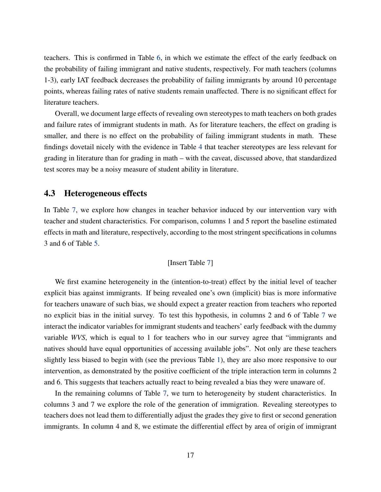teachers. This is confirmed in Table [6,](#page-34-0) in which we estimate the effect of the early feedback on the probability of failing immigrant and native students, respectively. For math teachers (columns 1-3), early IAT feedback decreases the probability of failing immigrants by around 10 percentage points, whereas failing rates of native students remain unaffected. There is no significant effect for literature teachers.

Overall, we document large effects of revealing own stereotypes to math teachers on both grades and failure rates of immigrant students in math. As for literature teachers, the effect on grading is smaller, and there is no effect on the probability of failing immigrant students in math. These findings dovetail nicely with the evidence in Table [4](#page-32-0) that teacher stereotypes are less relevant for grading in literature than for grading in math – with the caveat, discussed above, that standardized test scores may be a noisy measure of student ability in literature.

### 4.3 Heterogeneous effects

In Table [7,](#page-35-0) we explore how changes in teacher behavior induced by our intervention vary with teacher and student characteristics. For comparison, columns 1 and 5 report the baseline estimated effects in math and literature, respectively, according to the most stringent specifications in columns 3 and 6 of Table [5.](#page-33-0)

## [Insert Table [7\]](#page-35-0)

We first examine heterogeneity in the (intention-to-treat) effect by the initial level of teacher explicit bias against immigrants. If being revealed one's own (implicit) bias is more informative for teachers unaware of such bias, we should expect a greater reaction from teachers who reported no explicit bias in the initial survey. To test this hypothesis, in columns 2 and 6 of Table [7](#page-35-0) we interact the indicator variables for immigrant students and teachers' early feedback with the dummy variable *WVS*, which is equal to 1 for teachers who in our survey agree that "immigrants and natives should have equal opportunities of accessing available jobs". Not only are these teachers slightly less biased to begin with (see the previous Table [1\)](#page-29-0), they are also more responsive to our intervention, as demonstrated by the positive coefficient of the triple interaction term in columns 2 and 6. This suggests that teachers actually react to being revealed a bias they were unaware of.

In the remaining columns of Table [7,](#page-35-0) we turn to heterogeneity by student characteristics. In columns 3 and 7 we explore the role of the generation of immigration. Revealing stereotypes to teachers does not lead them to differentially adjust the grades they give to first or second generation immigrants. In column 4 and 8, we estimate the differential effect by area of origin of immigrant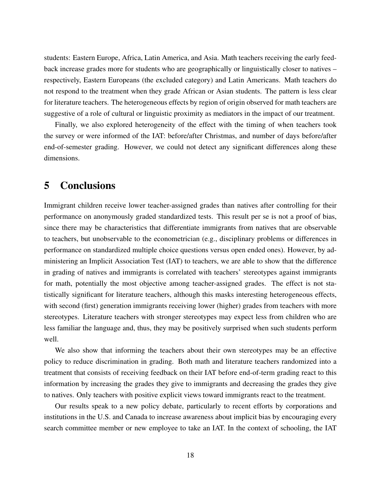students: Eastern Europe, Africa, Latin America, and Asia. Math teachers receiving the early feedback increase grades more for students who are geographically or linguistically closer to natives – respectively, Eastern Europeans (the excluded category) and Latin Americans. Math teachers do not respond to the treatment when they grade African or Asian students. The pattern is less clear for literature teachers. The heterogeneous effects by region of origin observed for math teachers are suggestive of a role of cultural or linguistic proximity as mediators in the impact of our treatment.

Finally, we also explored heterogeneity of the effect with the timing of when teachers took the survey or were informed of the IAT: before/after Christmas, and number of days before/after end-of-semester grading. However, we could not detect any significant differences along these dimensions.

# 5 Conclusions

Immigrant children receive lower teacher-assigned grades than natives after controlling for their performance on anonymously graded standardized tests. This result per se is not a proof of bias, since there may be characteristics that differentiate immigrants from natives that are observable to teachers, but unobservable to the econometrician (e.g., disciplinary problems or differences in performance on standardized multiple choice questions versus open ended ones). However, by administering an Implicit Association Test (IAT) to teachers, we are able to show that the difference in grading of natives and immigrants is correlated with teachers' stereotypes against immigrants for math, potentially the most objective among teacher-assigned grades. The effect is not statistically significant for literature teachers, although this masks interesting heterogeneous effects, with second (first) generation immigrants receiving lower (higher) grades from teachers with more stereotypes. Literature teachers with stronger stereotypes may expect less from children who are less familiar the language and, thus, they may be positively surprised when such students perform well.

We also show that informing the teachers about their own stereotypes may be an effective policy to reduce discrimination in grading. Both math and literature teachers randomized into a treatment that consists of receiving feedback on their IAT before end-of-term grading react to this information by increasing the grades they give to immigrants and decreasing the grades they give to natives. Only teachers with positive explicit views toward immigrants react to the treatment.

Our results speak to a new policy debate, particularly to recent efforts by corporations and institutions in the U.S. and Canada to increase awareness about implicit bias by encouraging every search committee member or new employee to take an IAT. In the context of schooling, the IAT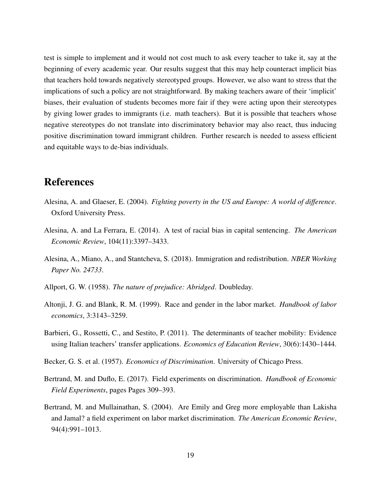test is simple to implement and it would not cost much to ask every teacher to take it, say at the beginning of every academic year. Our results suggest that this may help counteract implicit bias that teachers hold towards negatively stereotyped groups. However, we also want to stress that the implications of such a policy are not straightforward. By making teachers aware of their 'implicit' biases, their evaluation of students becomes more fair if they were acting upon their stereotypes by giving lower grades to immigrants (i.e. math teachers). But it is possible that teachers whose negative stereotypes do not translate into discriminatory behavior may also react, thus inducing positive discrimination toward immigrant children. Further research is needed to assess efficient and equitable ways to de-bias individuals.

# References

- <span id="page-20-1"></span>Alesina, A. and Glaeser, E. (2004). *Fighting poverty in the US and Europe: A world of difference*. Oxford University Press.
- <span id="page-20-6"></span>Alesina, A. and La Ferrara, E. (2014). A test of racial bias in capital sentencing. *The American Economic Review*, 104(11):3397–3433.
- <span id="page-20-0"></span>Alesina, A., Miano, A., and Stantcheva, S. (2018). Immigration and redistribution. *NBER Working Paper No. 24733*.
- <span id="page-20-7"></span>Allport, G. W. (1958). *The nature of prejudice: Abridged*. Doubleday.
- <span id="page-20-4"></span>Altonji, J. G. and Blank, R. M. (1999). Race and gender in the labor market. *Handbook of labor economics*, 3:3143–3259.
- <span id="page-20-8"></span>Barbieri, G., Rossetti, C., and Sestito, P. (2011). The determinants of teacher mobility: Evidence using Italian teachers' transfer applications. *Economics of Education Review*, 30(6):1430–1444.
- <span id="page-20-3"></span>Becker, G. S. et al. (1957). *Economics of Discrimination*. University of Chicago Press.
- <span id="page-20-2"></span>Bertrand, M. and Duflo, E. (2017). Field experiments on discrimination. *Handbook of Economic Field Experiments*, pages Pages 309–393.
- <span id="page-20-5"></span>Bertrand, M. and Mullainathan, S. (2004). Are Emily and Greg more employable than Lakisha and Jamal? a field experiment on labor market discrimination. *The American Economic Review*, 94(4):991–1013.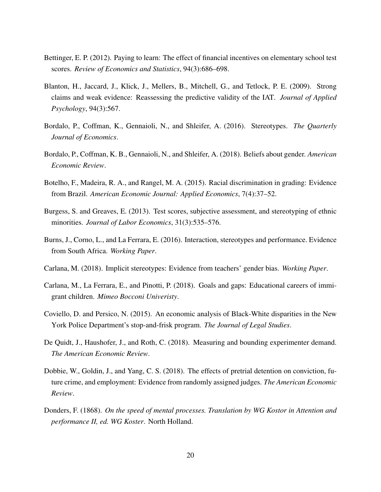- <span id="page-21-12"></span>Bettinger, E. P. (2012). Paying to learn: The effect of financial incentives on elementary school test scores. *Review of Economics and Statistics*, 94(3):686–698.
- <span id="page-21-10"></span>Blanton, H., Jaccard, J., Klick, J., Mellers, B., Mitchell, G., and Tetlock, P. E. (2009). Strong claims and weak evidence: Reassessing the predictive validity of the IAT. *Journal of Applied Psychology*, 94(3):567.
- <span id="page-21-0"></span>Bordalo, P., Coffman, K., Gennaioli, N., and Shleifer, A. (2016). Stereotypes. *The Quarterly Journal of Economics*.
- <span id="page-21-2"></span>Bordalo, P., Coffman, K. B., Gennaioli, N., and Shleifer, A. (2018). Beliefs about gender. *American Economic Review*.
- <span id="page-21-6"></span>Botelho, F., Madeira, R. A., and Rangel, M. A. (2015). Racial discrimination in grading: Evidence from Brazil. *American Economic Journal: Applied Economics*, 7(4):37–52.
- <span id="page-21-7"></span>Burgess, S. and Greaves, E. (2013). Test scores, subjective assessment, and stereotyping of ethnic minorities. *Journal of Labor Economics*, 31(3):535–576.
- <span id="page-21-3"></span>Burns, J., Corno, L., and La Ferrara, E. (2016). Interaction, stereotypes and performance. Evidence from South Africa. *Working Paper*.
- <span id="page-21-1"></span>Carlana, M. (2018). Implicit stereotypes: Evidence from teachers' gender bias. *Working Paper*.
- <span id="page-21-8"></span>Carlana, M., La Ferrara, E., and Pinotti, P. (2018). Goals and gaps: Educational careers of immigrant children. *Mimeo Bocconi Univeristy*.
- <span id="page-21-4"></span>Coviello, D. and Persico, N. (2015). An economic analysis of Black-White disparities in the New York Police Department's stop-and-frisk program. *The Journal of Legal Studies*.
- <span id="page-21-11"></span>De Quidt, J., Haushofer, J., and Roth, C. (2018). Measuring and bounding experimenter demand. *The American Economic Review*.
- <span id="page-21-5"></span>Dobbie, W., Goldin, J., and Yang, C. S. (2018). The effects of pretrial detention on conviction, future crime, and employment: Evidence from randomly assigned judges. *The American Economic Review*.
- <span id="page-21-9"></span>Donders, F. (1868). *On the speed of mental processes. Translation by WG Kostor in Attention and performance II, ed. WG Koster*. North Holland.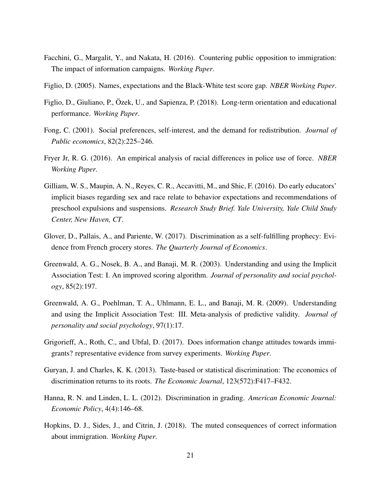- <span id="page-22-10"></span>Facchini, G., Margalit, Y., and Nakata, H. (2016). Countering public opposition to immigration: The impact of information campaigns. *Working Paper*.
- <span id="page-22-5"></span>Figlio, D. (2005). Names, expectations and the Black-White test score gap. *NBER Working Paper*.
- <span id="page-22-11"></span>Figlio, D., Giuliano, P., Özek, U., and Sapienza, P. (2018). Long-term orientation and educational performance. *Working Paper*.
- <span id="page-22-1"></span>Fong, C. (2001). Social preferences, self-interest, and the demand for redistribution. *Journal of Public economics*, 82(2):225–246.
- <span id="page-22-4"></span>Fryer Jr, R. G. (2016). An empirical analysis of racial differences in police use of force. *NBER Working Paper*.
- <span id="page-22-6"></span>Gilliam, W. S., Maupin, A. N., Reyes, C. R., Accavitti, M., and Shic, F. (2016). Do early educators' implicit biases regarding sex and race relate to behavior expectations and recommendations of preschool expulsions and suspensions. *Research Study Brief. Yale University, Yale Child Study Center, New Haven, CT*.
- <span id="page-22-0"></span>Glover, D., Pallais, A., and Pariente, W. (2017). Discrimination as a self-fulfilling prophecy: Evidence from French grocery stores. *The Quarterly Journal of Economics*.
- <span id="page-22-12"></span>Greenwald, A. G., Nosek, B. A., and Banaji, M. R. (2003). Understanding and using the Implicit Association Test: I. An improved scoring algorithm. *Journal of personality and social psychology*, 85(2):197.
- <span id="page-22-2"></span>Greenwald, A. G., Poehlman, T. A., Uhlmann, E. L., and Banaji, M. R. (2009). Understanding and using the Implicit Association Test: III. Meta-analysis of predictive validity. *Journal of personality and social psychology*, 97(1):17.
- <span id="page-22-8"></span>Grigorieff, A., Roth, C., and Ubfal, D. (2017). Does information change attitudes towards immigrants? representative evidence from survey experiments. *Working Paper*.
- <span id="page-22-3"></span>Guryan, J. and Charles, K. K. (2013). Taste-based or statistical discrimination: The economics of discrimination returns to its roots. *The Economic Journal*, 123(572):F417–F432.
- <span id="page-22-7"></span>Hanna, R. N. and Linden, L. L. (2012). Discrimination in grading. *American Economic Journal: Economic Policy*, 4(4):146–68.
- <span id="page-22-9"></span>Hopkins, D. J., Sides, J., and Citrin, J. (2018). The muted consequences of correct information about immigration. *Working Paper*.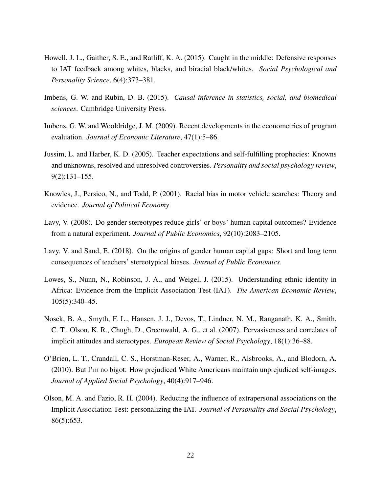- <span id="page-23-2"></span>Howell, J. L., Gaither, S. E., and Ratliff, K. A. (2015). Caught in the middle: Defensive responses to IAT feedback among whites, blacks, and biracial black/whites. *Social Psychological and Personality Science*, 6(4):373–381.
- <span id="page-23-9"></span>Imbens, G. W. and Rubin, D. B. (2015). *Causal inference in statistics, social, and biomedical sciences*. Cambridge University Press.
- <span id="page-23-10"></span>Imbens, G. W. and Wooldridge, J. M. (2009). Recent developments in the econometrics of program evaluation. *Journal of Economic Literature*, 47(1):5–86.
- <span id="page-23-3"></span>Jussim, L. and Harber, K. D. (2005). Teacher expectations and self-fulfilling prophecies: Knowns and unknowns, resolved and unresolved controversies. *Personality and social psychology review*, 9(2):131–155.
- <span id="page-23-4"></span>Knowles, J., Persico, N., and Todd, P. (2001). Racial bias in motor vehicle searches: Theory and evidence. *Journal of Political Economy*.
- <span id="page-23-6"></span>Lavy, V. (2008). Do gender stereotypes reduce girls' or boys' human capital outcomes? Evidence from a natural experiment. *Journal of Public Economics*, 92(10):2083–2105.
- <span id="page-23-5"></span>Lavy, V. and Sand, E. (2018). On the origins of gender human capital gaps: Short and long term consequences of teachers' stereotypical biases. *Journal of Public Economics*.
- <span id="page-23-0"></span>Lowes, S., Nunn, N., Robinson, J. A., and Weigel, J. (2015). Understanding ethnic identity in Africa: Evidence from the Implicit Association Test (IAT). *The American Economic Review*, 105(5):340–45.
- <span id="page-23-8"></span>Nosek, B. A., Smyth, F. L., Hansen, J. J., Devos, T., Lindner, N. M., Ranganath, K. A., Smith, C. T., Olson, K. R., Chugh, D., Greenwald, A. G., et al. (2007). Pervasiveness and correlates of implicit attitudes and stereotypes. *European Review of Social Psychology*, 18(1):36–88.
- <span id="page-23-1"></span>O'Brien, L. T., Crandall, C. S., Horstman-Reser, A., Warner, R., Alsbrooks, A., and Blodorn, A. (2010). But I'm no bigot: How prejudiced White Americans maintain unprejudiced self-images. *Journal of Applied Social Psychology*, 40(4):917–946.
- <span id="page-23-7"></span>Olson, M. A. and Fazio, R. H. (2004). Reducing the influence of extrapersonal associations on the Implicit Association Test: personalizing the IAT. *Journal of Personality and Social Psychology*, 86(5):653.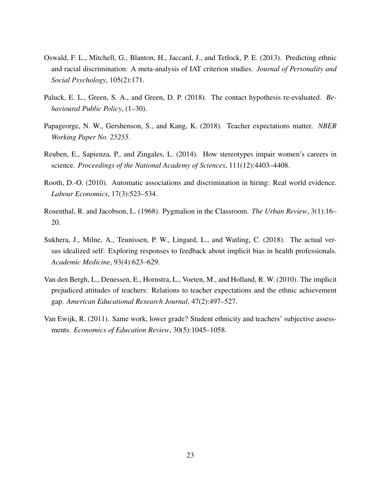- <span id="page-24-7"></span>Oswald, F. L., Mitchell, G., Blanton, H., Jaccard, J., and Tetlock, P. E. (2013). Predicting ethnic and racial discrimination: A meta-analysis of IAT criterion studies. *Journal of Personality and Social Psychology*, 105(2):171.
- <span id="page-24-6"></span>Paluck, E. L., Green, S. A., and Green, D. P. (2018). The contact hypothesis re-evaluated. *Behavioural Public Policy*, (1–30).
- <span id="page-24-3"></span>Papageorge, N. W., Gershenson, S., and Kang, K. (2018). Teacher expectations matter. *NBER Working Paper No. 25255*.
- <span id="page-24-1"></span>Reuben, E., Sapienza, P., and Zingales, L. (2014). How stereotypes impair women's careers in science. *Proceedings of the National Academy of Sciences*, 111(12):4403–4408.
- <span id="page-24-8"></span>Rooth, D.-O. (2010). Automatic associations and discrimination in hiring: Real world evidence. *Labour Economics*, 17(3):523–534.
- <span id="page-24-4"></span>Rosenthal, R. and Jacobson, L. (1968). Pygmalion in the Classroom. *The Urban Review*, 3(1):16– 20.
- <span id="page-24-2"></span>Sukhera, J., Milne, A., Teunissen, P. W., Lingard, L., and Watling, C. (2018). The actual versus idealized self: Exploring responses to feedback about implicit bias in health professionals. *Academic Medicine*, 93(4):623–629.
- <span id="page-24-0"></span>Van den Bergh, L., Denessen, E., Hornstra, L., Voeten, M., and Holland, R. W. (2010). The implicit prejudiced attitudes of teachers: Relations to teacher expectations and the ethnic achievement gap. *American Educational Research Journal*, 47(2):497–527.
- <span id="page-24-5"></span>Van Ewijk, R. (2011). Same work, lower grade? Student ethnicity and teachers' subjective assessments. *Economics of Education Review*, 30(5):1045–1058.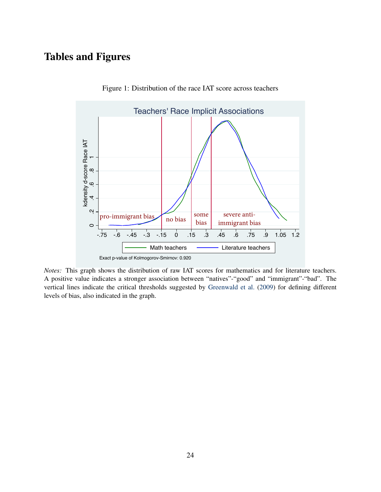# Tables and Figures



<span id="page-25-0"></span>Figure 1: Distribution of the race IAT score across teachers

*Notes:* This graph shows the distribution of raw IAT scores for mathematics and for literature teachers. A positive value indicates a stronger association between "natives"-"good" and "immigrant"-"bad". The vertical lines indicate the critical thresholds suggested by [Greenwald et al.](#page-22-2) [\(2009\)](#page-22-2) for defining different levels of bias, also indicated in the graph.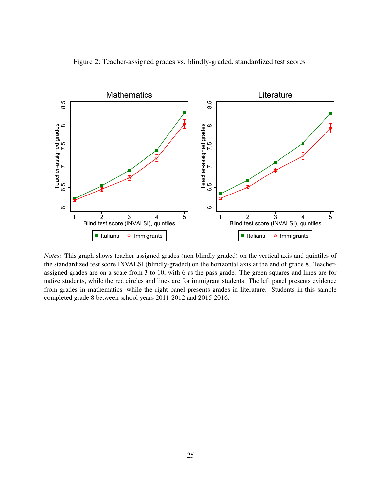<span id="page-26-0"></span>



*Notes:* This graph shows teacher-assigned grades (non-blindly graded) on the vertical axis and quintiles of the standardized test score INVALSI (blindly-graded) on the horizontal axis at the end of grade 8. Teacherassigned grades are on a scale from 3 to 10, with 6 as the pass grade. The green squares and lines are for native students, while the red circles and lines are for immigrant students. The left panel presents evidence from grades in mathematics, while the right panel presents grades in literature. Students in this sample completed grade 8 between school years 2011-2012 and 2015-2016.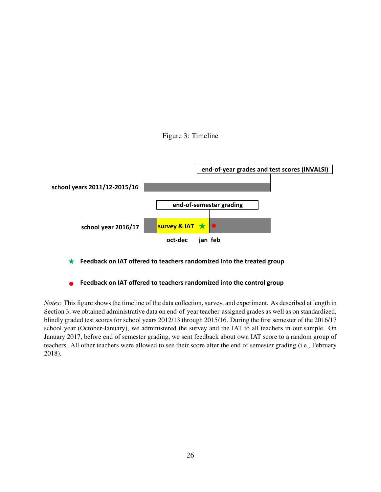<span id="page-27-0"></span>



- ★  **Feedback on IAT offered to teachers randomized into the treated group**
- **• Feedback on IAT offered to teachers randomized into the control group**

*Notes:* This figure shows the timeline of the data collection, survey, and experiment. As described at length in Section [3,](#page-8-1) we obtained administrative data on end-of-year teacher-assigned grades as well as on standardized, blindly graded test scores for school years 2012/13 through 2015/16. During the first semester of the 2016/17 school year (October-January), we administered the survey and the IAT to all teachers in our sample. On January 2017, before end of semester grading, we sent feedback about own IAT score to a random group of teachers. All other teachers were allowed to see their score after the end of semester grading (i.e., February 2018).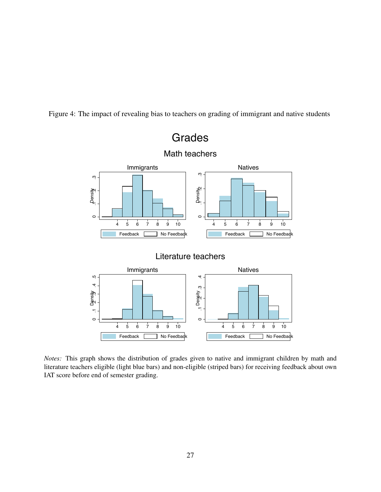Figure 4: The impact of revealing bias to teachers on grading of immigrant and native students

<span id="page-28-0"></span>

*Notes:* This graph shows the distribution of grades given to native and immigrant children by math and literature teachers eligible (light blue bars) and non-eligible (striped bars) for receiving feedback about own IAT score before end of semester grading.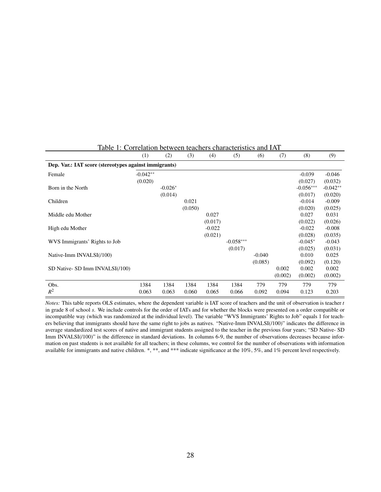|                                                       | (1)        | (2)       | (3)     | (4)      | (5)         | (6)      | (7)     | (8)         | (9)        |  |
|-------------------------------------------------------|------------|-----------|---------|----------|-------------|----------|---------|-------------|------------|--|
| Dep. Var.: IAT score (stereotypes against immigrants) |            |           |         |          |             |          |         |             |            |  |
| Female                                                | $-0.042**$ |           |         |          |             |          |         | $-0.039$    | $-0.046$   |  |
|                                                       | (0.020)    |           |         |          |             |          |         | (0.027)     | (0.032)    |  |
| Born in the North                                     |            | $-0.026*$ |         |          |             |          |         | $-0.056***$ | $-0.042**$ |  |
|                                                       |            | (0.014)   |         |          |             |          |         | (0.017)     | (0.020)    |  |
| Children                                              |            |           | 0.021   |          |             |          |         | $-0.014$    | $-0.009$   |  |
|                                                       |            |           | (0.050) |          |             |          |         | (0.020)     | (0.025)    |  |
| Middle edu Mother                                     |            |           |         | 0.027    |             |          |         | 0.027       | 0.031      |  |
|                                                       |            |           |         | (0.017)  |             |          |         | (0.022)     | (0.026)    |  |
| High edu Mother                                       |            |           |         | $-0.022$ |             |          |         | $-0.022$    | $-0.008$   |  |
|                                                       |            |           |         | (0.021)  |             |          |         | (0.028)     | (0.035)    |  |
| WVS Immigrants' Rights to Job                         |            |           |         |          | $-0.058***$ |          |         | $-0.045*$   | $-0.043$   |  |
|                                                       |            |           |         |          | (0.017)     |          |         | (0.025)     | (0.031)    |  |
| Native-Imm INVALSI(/100)                              |            |           |         |          |             | $-0.040$ |         | 0.010       | 0.025      |  |
|                                                       |            |           |         |          |             | (0.085)  |         | (0.092)     | (0.120)    |  |
| SD Native- SD Imm INVALSI(/100)                       |            |           |         |          |             |          | 0.002   | 0.002       | 0.002      |  |
|                                                       |            |           |         |          |             |          | (0.002) | (0.002)     | (0.002)    |  |
| Obs.                                                  | 1384       | 1384      | 1384    | 1384     | 1384        | 779      | 779     | 779         | 779        |  |
| $R^2$                                                 | 0.063      | 0.063     | 0.060   | 0.065    | 0.066       | 0.092    | 0.094   | 0.123       | 0.203      |  |

## <span id="page-29-0"></span>Table 1: Correlation between teachers characteristics and IAT

*Notes:* This table reports OLS estimates, where the dependent variable is IAT score of teachers and the unit of observation is teacher *t* in grade 8 of school *s*. We include controls for the order of IATs and for whether the blocks were presented on a order compatible or incompatible way (which was randomized at the individual level). The variable "WVS Immigrants' Rights to Job" equals 1 for teachers believing that immigrants should have the same right to jobs as natives. "Native-Imm INVALSI(/100)" indicates the difference in average standardized test scores of native and immigrant students assigned to the teacher in the previous four years; "SD Native- SD Imm INVALSI(/100)" is the difference in standard deviations. In columns 6-9, the number of observations decreases because information on past students is not available for all teachers; in these columns, we control for the number of observations with information available for immigrants and native children. \*, \*\*, and \*\*\* indicate significance at the 10%, 5%, and 1% percent level respectively.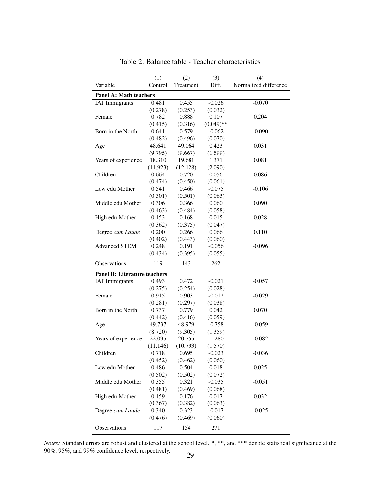|                                     | (1)      | (2)       | (3)          | (4)                   |
|-------------------------------------|----------|-----------|--------------|-----------------------|
| Variable                            | Control  | Treatment | Diff.        | Normalized difference |
| <b>Panel A: Math teachers</b>       |          |           |              |                       |
| <b>IAT</b> Immigrants               | 0.481    | 0.455     | $-0.026$     | $-0.070$              |
|                                     | (0.278)  | (0.253)   | (0.032)      |                       |
| Female                              | 0.782    | 0.888     | 0.107        | 0.204                 |
|                                     | (0.415)  | (0.316)   | $(0.049)$ ** |                       |
| Born in the North                   | 0.641    | 0.579     | $-0.062$     | $-0.090$              |
|                                     | (0.482)  | (0.496)   | (0.070)      |                       |
| Age                                 | 48.641   | 49.064    | 0.423        | 0.031                 |
|                                     | (9.795)  | (9.667)   | (1.599)      |                       |
| Years of experience                 | 18.310   | 19.681    | 1.371        | 0.081                 |
|                                     | (11.923) | (12.128)  | (2.090)      |                       |
| Children                            | 0.664    | 0.720     | 0.056        | 0.086                 |
|                                     | (0.474)  | (0.450)   | (0.061)      |                       |
| Low edu Mother                      | 0.541    | 0.466     | $-0.075$     | $-0.106$              |
|                                     | (0.501)  | (0.501)   | (0.063)      |                       |
| Middle edu Mother                   | 0.306    | 0.366     | 0.060        | 0.090                 |
|                                     | (0.463)  | (0.484)   | (0.058)      |                       |
| High edu Mother                     | 0.153    | 0.168     | 0.015        | 0.028                 |
|                                     | (0.362)  | (0.375)   | (0.047)      |                       |
| Degree cum Laude                    | 0.200    | 0.266     | 0.066        | 0.110                 |
|                                     | (0.402)  | (0.443)   | (0.060)      |                       |
| <b>Advanced STEM</b>                | 0.248    | 0.191     | $-0.056$     | $-0.096$              |
|                                     | (0.434)  | (0.395)   | (0.055)      |                       |
| <b>Observations</b>                 | 119      | 143       | 262          |                       |
| <b>Panel B: Literature teachers</b> |          |           |              |                       |
| <b>IAT</b> Immigrants               | 0.493    | 0.472     | $-0.021$     | $-0.057$              |
|                                     | (0.275)  | (0.254)   | (0.028)      |                       |
| Female                              | 0.915    | 0.903     | $-0.012$     | $-0.029$              |
|                                     | (0.281)  | (0.297)   | (0.038)      |                       |
| Born in the North                   | 0.737    | 0.779     | 0.042        | 0.070                 |
|                                     | (0.442)  | (0.416)   | (0.059)      |                       |
| Age                                 | 49.737   | 48.979    | $-0.758$     | $-0.059$              |
|                                     | (8.720)  | (9.305)   | (1.359)      |                       |
| Years of experience                 | 22.035   | 20.755    | $-1.280$     | $-0.082$              |
|                                     | (11.146) | (10.793)  | (1.570)      |                       |
| Children                            | 0.718    | 0.695     | $-0.023$     | $-0.036$              |
|                                     | (0.452)  | (0.462)   | (0.060)      |                       |
| Low edu Mother                      | 0.486    | 0.504     | 0.018        | 0.025                 |
|                                     | (0.502)  | (0.502)   | (0.072)      |                       |
| Middle edu Mother                   | 0.355    | 0.321     | $-0.035$     | $-0.051$              |
|                                     | (0.481)  | (0.469)   | (0.068)      |                       |
| High edu Mother                     | 0.159    | 0.176     | 0.017        | 0.032                 |
|                                     | (0.367)  | (0.382)   | (0.063)      |                       |
| Degree cum Laude                    | 0.340    | 0.323     | $-0.017$     | $-0.025$              |
|                                     | (0.476)  | (0.469)   | (0.060)      |                       |
| Observations                        | 117      | 154       | 271          |                       |

<span id="page-30-0"></span>Table 2: Balance table - Teacher characteristics

*Notes:* Standard errors are robust and clustered at the school level. \*, \*\*, and \*\*\* denote statistical significance at the 90%, 95%, and 99% confidence level, respectively.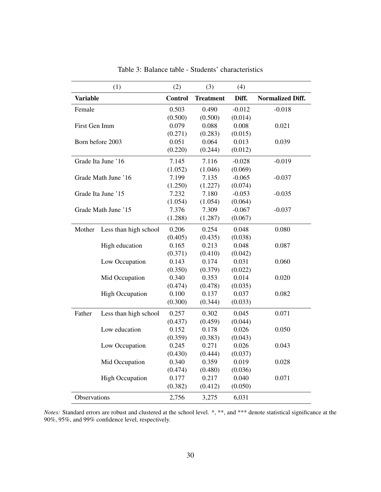|                 | (1)                    | (2)            | (3)              | (4)      |                         |
|-----------------|------------------------|----------------|------------------|----------|-------------------------|
| <b>Variable</b> |                        | <b>Control</b> | <b>Treatment</b> | Diff.    | <b>Normalized Diff.</b> |
| Female          |                        | 0.503          | 0.490            | $-0.012$ | $-0.018$                |
|                 |                        | (0.500)        | (0.500)          | (0.014)  |                         |
| First Gen Imm   |                        | 0.079          | 0.088            | 0.008    | 0.021                   |
|                 |                        | (0.271)        | (0.283)          | (0.015)  |                         |
|                 | Born before 2003       | 0.051          | 0.064            | 0.013    | 0.039                   |
|                 |                        | (0.220)        | (0.244)          | (0.012)  |                         |
|                 | Grade Ita June '16     | 7.145          | 7.116            | $-0.028$ | $-0.019$                |
|                 |                        | (1.052)        | (1.046)          | (0.069)  |                         |
|                 | Grade Math June '16    | 7.199          | 7.135            | $-0.065$ | $-0.037$                |
|                 |                        | (1.250)        | (1.227)          | (0.074)  |                         |
|                 | Grade Ita June '15     | 7.232          | 7.180            | $-0.053$ | $-0.035$                |
|                 |                        | (1.054)        | (1.054)          | (0.064)  |                         |
|                 | Grade Math June '15    | 7.376          | 7.309            | $-0.067$ | $-0.037$                |
|                 |                        | (1.288)        | (1.287)          | (0.067)  |                         |
| Mother          | Less than high school  | 0.206          | 0.254            | 0.048    | 0.080                   |
|                 |                        | (0.405)        | (0.435)          | (0.038)  |                         |
|                 | High education         | 0.165          | 0.213            | 0.048    | 0.087                   |
|                 |                        | (0.371)        | (0.410)          | (0.042)  |                         |
|                 | Low Occupation         | 0.143          | 0.174            | 0.031    | 0.060                   |
|                 |                        | (0.350)        | (0.379)          | (0.022)  |                         |
|                 | Mid Occupation         | 0.340          | 0.353            | 0.014    | 0.020                   |
|                 |                        | (0.474)        | (0.478)          | (0.035)  |                         |
|                 | <b>High Occupation</b> | 0.100          | 0.137            | 0.037    | 0.082                   |
|                 |                        | (0.300)        | (0.344)          | (0.033)  |                         |
| Father          | Less than high school  | 0.257          | 0.302            | 0.045    | 0.071                   |
|                 |                        | (0.437)        | (0.459)          | (0.044)  |                         |
|                 | Low education          | 0.152          | 0.178            | 0.026    | 0.050                   |
|                 |                        | (0.359)        | (0.383)          | (0.043)  |                         |
|                 | Low Occupation         | 0.245          | 0.271            | 0.026    | 0.043                   |
|                 |                        | (0.430)        | (0.444)          | (0.037)  |                         |
|                 | Mid Occupation         | 0.340          | 0.359            | 0.019    | 0.028                   |
|                 |                        | (0.474)        | (0.480)          | (0.036)  |                         |
|                 | <b>High Occupation</b> | 0.177          | 0.217            | 0.040    | 0.071                   |
|                 |                        | (0.382)        | (0.412)          | (0.050)  |                         |
| Observations    |                        | 2,756          | 3,275            | 6,031    |                         |

<span id="page-31-0"></span>Table 3: Balance table - Students' characteristics

*Notes:* Standard errors are robust and clustered at the school level. \*, \*\*, and \*\*\* denote statistical significance at the 90%, 95%, and 99% confidence level, respectively.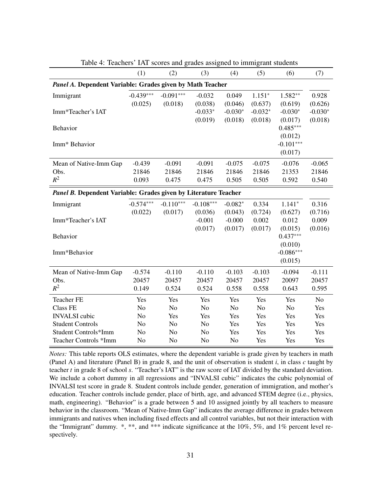|                                                                 | (1)            | (2)            | (3)            | (4)            | (5)       | (6)            | (7)            |  |
|-----------------------------------------------------------------|----------------|----------------|----------------|----------------|-----------|----------------|----------------|--|
| Panel A. Dependent Variable: Grades given by Math Teacher       |                |                |                |                |           |                |                |  |
| Immigrant                                                       | $-0.439***$    | $-0.091***$    | $-0.032$       | 0.049          | $1.151*$  | $1.582**$      | 0.928          |  |
|                                                                 | (0.025)        | (0.018)        | (0.038)        | (0.046)        | (0.637)   | (0.619)        | (0.626)        |  |
| Imm*Teacher's IAT                                               |                |                | $-0.033*$      | $-0.030*$      | $-0.032*$ | $-0.030*$      | $-0.030*$      |  |
|                                                                 |                |                | (0.019)        | (0.018)        | (0.018)   | (0.017)        | (0.018)        |  |
| Behavior                                                        |                |                |                |                |           | $0.485***$     |                |  |
|                                                                 |                |                |                |                |           | (0.012)        |                |  |
| Imm* Behavior                                                   |                |                |                |                |           | $-0.101***$    |                |  |
|                                                                 |                |                |                |                |           | (0.017)        |                |  |
| Mean of Native-Imm Gap                                          | $-0.439$       | $-0.091$       | $-0.091$       | $-0.075$       | $-0.075$  | $-0.076$       | $-0.065$       |  |
| Obs.                                                            | 21846          | 21846          | 21846          | 21846          | 21846     | 21353          | 21846          |  |
| $R^2$                                                           | 0.093          | 0.475          | 0.475          | 0.505          | 0.505     | 0.592          | 0.540          |  |
|                                                                 |                |                |                |                |           |                |                |  |
| Panel B. Dependent Variable: Grades given by Literature Teacher |                |                |                |                |           |                |                |  |
| Immigrant                                                       | $-0.574***$    | $-0.110***$    | $-0.108***$    | $-0.082*$      | 0.334     | $1.141*$       | 0.316          |  |
|                                                                 | (0.022)        | (0.017)        | (0.036)        | (0.043)        | (0.724)   | (0.627)        | (0.716)        |  |
| Imm*Teacher's IAT                                               |                |                | $-0.001$       | $-0.000$       | 0.002     | 0.012          | 0.009          |  |
|                                                                 |                |                | (0.017)        | (0.017)        | (0.017)   | (0.015)        | (0.016)        |  |
| Behavior                                                        |                |                |                |                |           | $0.437***$     |                |  |
|                                                                 |                |                |                |                |           | (0.010)        |                |  |
| Imm*Behavior                                                    |                |                |                |                |           | $-0.086***$    |                |  |
|                                                                 |                |                |                |                |           | (0.015)        |                |  |
| Mean of Native-Imm Gap                                          | $-0.574$       | $-0.110$       | $-0.110$       | $-0.103$       | $-0.103$  | $-0.094$       | $-0.111$       |  |
| Obs.                                                            | 20457          | 20457          | 20457          | 20457          | 20457     | 20097          | 20457          |  |
| $R^2$                                                           | 0.149          | 0.524          | 0.524          | 0.558          | 0.558     | 0.643          | 0.595          |  |
| <b>Teacher FE</b>                                               | Yes            | Yes            | Yes            | Yes            | Yes       | Yes            | N <sub>o</sub> |  |
| <b>Class FE</b>                                                 | N <sub>o</sub> | N <sub>o</sub> | N <sub>o</sub> | N <sub>o</sub> | No        | N <sub>o</sub> | Yes            |  |
| <b>INVALSI</b> cubic                                            | N <sub>o</sub> | Yes            | Yes            | Yes            | Yes       | Yes            | Yes            |  |
| <b>Student Controls</b>                                         | N <sub>0</sub> | N <sub>0</sub> | N <sub>o</sub> | Yes            | Yes       | Yes            | Yes            |  |
| Student Controls*Imm                                            | N <sub>o</sub> | No             | N <sub>o</sub> | Yes            | Yes       | Yes            | Yes            |  |
| Teacher Controls *Imm                                           | N <sub>o</sub> | No             | N <sub>0</sub> | N <sub>o</sub> | Yes       | Yes            | Yes            |  |

<span id="page-32-0"></span>Table 4: Teachers' IAT scores and grades assigned to immigrant students

*Notes:* This table reports OLS estimates, where the dependent variable is grade given by teachers in math (Panel A) and literature (Panel B) in grade 8, and the unit of observation is student *i*, in class *c* taught by teacher *t* in grade 8 of school *s*. "Teacher's IAT" is the raw score of IAT divided by the standard deviation. We include a cohort dummy in all regressions and "INVALSI cubic" indicates the cubic polynomial of INVALSI test score in grade 8. Student controls include gender, generation of immigration, and mother's education. Teacher controls include gender, place of birth, age, and advanced STEM degree (i.e., physics, math, engineering). "Behavior" is a grade between 5 and 10 assigned jointly by all teachers to measure behavior in the classroom. "Mean of Native-Imm Gap" indicates the average difference in grades between immigrants and natives when including fixed effects and all control variables, but not their interaction with the "Immigrant" dummy. \*, \*\*, and \*\*\* indicate significance at the 10%, 5%, and 1% percent level respectively.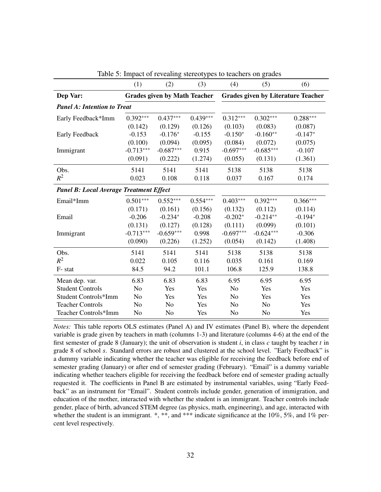|                                                | (1)            | (2)                                 | (3)        | (4)                                       | (5)            | (6)        |
|------------------------------------------------|----------------|-------------------------------------|------------|-------------------------------------------|----------------|------------|
| Dep Var:                                       |                | <b>Grades given by Math Teacher</b> |            | <b>Grades given by Literature Teacher</b> |                |            |
| <b>Panel A: Intention to Treat</b>             |                |                                     |            |                                           |                |            |
| Early Feedback*Imm                             | $0.392***$     | $0.437***$                          | $0.439***$ | $0.312***$                                | $0.302***$     | $0.288***$ |
|                                                | (0.142)        | (0.129)                             | (0.126)    | (0.103)                                   | (0.083)        | (0.087)    |
| Early Feedback                                 | $-0.153$       | $-0.176*$                           | $-0.155$   | $-0.150*$                                 | $-0.160**$     | $-0.147*$  |
|                                                | (0.100)        | (0.094)                             | (0.095)    | (0.084)                                   | (0.072)        | (0.075)    |
| Immigrant                                      | $-0.713***$    | $-0.687***$                         | 0.915      | $-0.697***$                               | $-0.685***$    | $-0.107$   |
|                                                | (0.091)        | (0.222)                             | (1.274)    | (0.055)                                   | (0.131)        | (1.361)    |
| Obs.                                           | 5141           | 5141                                | 5141       | 5138                                      | 5138           | 5138       |
| $R^2$                                          | 0.023          | 0.108                               | 0.118      | 0.037                                     | 0.167          | 0.174      |
| <b>Panel B: Local Average Treatment Effect</b> |                |                                     |            |                                           |                |            |
| Email*Imm                                      | $0.501***$     | $0.552***$                          | $0.554***$ | $0.403***$                                | $0.392***$     | $0.366***$ |
|                                                | (0.171)        | (0.161)                             | (0.156)    | (0.132)                                   | (0.112)        | (0.114)    |
| Email                                          | $-0.206$       | $-0.234*$                           | $-0.208$   | $-0.202*$                                 | $-0.214**$     | $-0.194*$  |
|                                                | (0.131)        | (0.127)                             | (0.128)    | (0.111)                                   | (0.099)        | (0.101)    |
| Immigrant                                      | $-0.713***$    | $-0.659***$                         | 0.998      | $-0.697***$                               | $-0.624***$    | $-0.306$   |
|                                                | (0.090)        | (0.226)                             | (1.252)    | (0.054)                                   | (0.142)        | (1.408)    |
| Obs.                                           | 5141           | 5141                                | 5141       | 5138                                      | 5138           | 5138       |
| $R^2$                                          | 0.022          | 0.105                               | 0.116      | 0.035                                     | 0.161          | 0.169      |
| F-stat                                         | 84.5           | 94.2                                | 101.1      | 106.8                                     | 125.9          | 138.8      |
| Mean dep. var.                                 | 6.83           | 6.83                                | 6.83       | 6.95                                      | 6.95           | 6.95       |
| <b>Student Controls</b>                        | N <sub>o</sub> | Yes                                 | Yes        | N <sub>o</sub>                            | Yes            | Yes        |
| Student Controls*Imm                           | N <sub>0</sub> | Yes                                 | Yes        | N <sub>0</sub>                            | Yes            | Yes        |
| <b>Teacher Controls</b>                        | N <sub>o</sub> | N <sub>o</sub>                      | Yes        | No                                        | N <sub>o</sub> | Yes        |
| Teacher Controls*Imm                           | N <sub>o</sub> | No                                  | Yes        | No                                        | No             | Yes        |

<span id="page-33-0"></span>Table 5: Impact of revealing stereotypes to teachers on grades

*Notes:* This table reports OLS estimates (Panel A) and IV estimates (Panel B), where the dependent variable is grade given by teachers in math (columns 1-3) and literature (columns 4-6) at the end of the first semester of grade 8 (January); the unit of observation is student *i*, in class *c* taught by teacher *t* in grade 8 of school *s*. Standard errors are robust and clustered at the school level. "Early Feedback" is a dummy variable indicating whether the teacher was eligible for receiving the feedback before end of semester grading (January) or after end of semester grading (February). "Email" is a dummy variable indicating whether teachers eligible for receiving the feedback before end of semester grading actually requested it. The coefficients in Panel B are estimated by instrumental variables, using "Early Feedback" as an instrument for "Email". Student controls include gender, generation of immigration, and education of the mother, interacted with whether the student is an immigrant. Teacher controls include gender, place of birth, advanced STEM degree (as physics, math, engineering), and age, interacted with whether the student is an immigrant.  $*, **$ , and  $***$  indicate significance at the 10%, 5%, and 1% percent level respectively.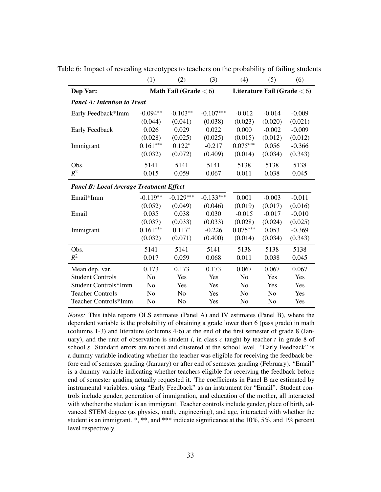<span id="page-34-0"></span>

|                                                | (1)            | (2)                      | (3)         | (4)            | (5)                           | (6)      |
|------------------------------------------------|----------------|--------------------------|-------------|----------------|-------------------------------|----------|
| Dep Var:                                       |                | Math Fail (Grade $< 6$ ) |             |                | Literature Fail (Grade $<$ 6) |          |
| <b>Panel A: Intention to Treat</b>             |                |                          |             |                |                               |          |
| Early Feedback*Imm                             | $-0.094**$     | $-0.103**$               | $-0.107***$ | $-0.012$       | $-0.014$                      | $-0.009$ |
|                                                | (0.044)        | (0.041)                  | (0.038)     | (0.023)        | (0.020)                       | (0.021)  |
| Early Feedback                                 | 0.026          | 0.029                    | 0.022       | 0.000          | $-0.002$                      | $-0.009$ |
|                                                | (0.028)        | (0.025)                  | (0.025)     | (0.015)        | (0.012)                       | (0.012)  |
| Immigrant                                      | $0.161***$     | $0.122*$                 | $-0.217$    | $0.075***$     | 0.056                         | $-0.366$ |
|                                                | (0.032)        | (0.072)                  | (0.409)     | (0.014)        | (0.034)                       | (0.343)  |
| Obs.                                           | 5141           | 5141                     | 5141        | 5138           | 5138                          | 5138     |
| $R^2$                                          | 0.015          | 0.059                    | 0.067       | 0.011          | 0.038                         | 0.045    |
| <b>Panel B: Local Average Treatment Effect</b> |                |                          |             |                |                               |          |
| Email*Imm                                      | $-0.119**$     | $-0.129***$              | $-0.133***$ | 0.001          | $-0.003$                      | $-0.011$ |
|                                                | (0.052)        | (0.049)                  | (0.046)     | (0.019)        | (0.017)                       | (0.016)  |
| Email                                          | 0.035          | 0.038                    | 0.030       | $-0.015$       | $-0.017$                      | $-0.010$ |
|                                                | (0.037)        | (0.033)                  | (0.033)     | (0.028)        | (0.024)                       | (0.025)  |
| Immigrant                                      | $0.161***$     | $0.117*$                 | $-0.226$    | $0.075***$     | 0.053                         | $-0.369$ |
|                                                | (0.032)        | (0.071)                  | (0.400)     | (0.014)        | (0.034)                       | (0.343)  |
| Obs.                                           | 5141           | 5141                     | 5141        | 5138           | 5138                          | 5138     |
| $R^2$                                          | 0.017          | 0.059                    | 0.068       | 0.011          | 0.038                         | 0.045    |
| Mean dep. var.                                 | 0.173          | 0.173                    | 0.173       | 0.067          | 0.067                         | 0.067    |
| <b>Student Controls</b>                        | N <sub>o</sub> | Yes                      | Yes         | N <sub>o</sub> | Yes                           | Yes      |
| Student Controls*Imm                           | N <sub>o</sub> | Yes                      | Yes         | N <sub>o</sub> | Yes                           | Yes      |
| <b>Teacher Controls</b>                        | No             | No                       | Yes         | No             | N <sub>o</sub>                | Yes      |
| Teacher Controls*Imm                           | N <sub>o</sub> | No                       | Yes         | No             | N <sub>0</sub>                | Yes      |

Table 6: Impact of revealing stereotypes to teachers on the probability of failing students

*Notes:* This table reports OLS estimates (Panel A) and IV estimates (Panel B), where the dependent variable is the probability of obtaining a grade lower than 6 (pass grade) in math (columns 1-3) and literature (columns 4-6) at the end of the first semester of grade 8 (January), and the unit of observation is student  $i$ , in class  $c$  taught by teacher  $t$  in grade 8 of school *s*. Standard errors are robust and clustered at the school level. "Early Feedback" is a dummy variable indicating whether the teacher was eligible for receiving the feedback before end of semester grading (January) or after end of semester grading (February). "Email" is a dummy variable indicating whether teachers eligible for receiving the feedback before end of semester grading actually requested it. The coefficients in Panel B are estimated by instrumental variables, using "Early Feedback" as an instrument for "Email". Student controls include gender, generation of immigration, and education of the mother, all interacted with whether the student is an immigrant. Teacher controls include gender, place of birth, advanced STEM degree (as physics, math, engineering), and age, interacted with whether the student is an immigrant. \*, \*\*, and \*\*\* indicate significance at the 10%, 5%, and 1% percent level respectively.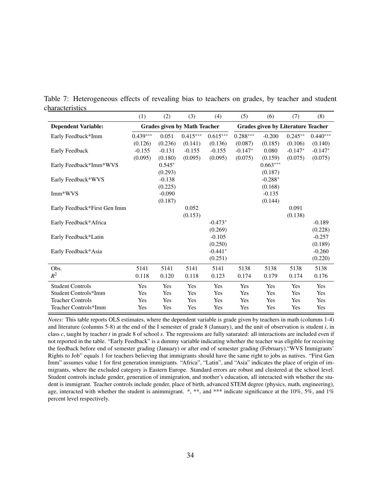|                              | (1)        | (2)      | (3)                                 | (4)        | (5)                                       | (6)        | (7)       | (8)        |
|------------------------------|------------|----------|-------------------------------------|------------|-------------------------------------------|------------|-----------|------------|
| <b>Dependent Variable:</b>   |            |          | <b>Grades given by Math Teacher</b> |            | <b>Grades given by Literature Teacher</b> |            |           |            |
| Early Feedback*Imm           | $0.439***$ | 0.051    | $0.415***$                          | $0.615***$ | $0.288***$                                | $-0.200$   | $0.245**$ | $0.440***$ |
|                              | (0.126)    | (0.236)  | (0.141)                             | (0.136)    | (0.087)                                   | (0.185)    | (0.106)   | (0.140)    |
| Early Feedback               | $-0.155$   | $-0.131$ | $-0.155$                            | $-0.155$   | $-0.147*$                                 | 0.080      | $-0.147*$ | $-0.147*$  |
|                              | (0.095)    | (0.180)  | (0.095)                             | (0.095)    | (0.075)                                   | (0.159)    | (0.075)   | (0.075)    |
| Early Feedback*Imm*WVS       |            | $0.545*$ |                                     |            |                                           | $0.663***$ |           |            |
|                              |            | (0.293)  |                                     |            |                                           | (0.187)    |           |            |
| Early Feedback*WVS           |            | $-0.138$ |                                     |            |                                           | $-0.288*$  |           |            |
|                              |            | (0.225)  |                                     |            |                                           | (0.168)    |           |            |
| Imm*WVS                      |            | $-0.090$ |                                     |            |                                           | $-0.135$   |           |            |
|                              |            | (0.187)  |                                     |            |                                           | (0.144)    |           |            |
| Early Feedback*First Gen Imm |            |          | 0.052                               |            |                                           |            | 0.091     |            |
|                              |            |          | (0.153)                             |            |                                           |            | (0.138)   |            |
| Early Feedback*Africa        |            |          |                                     | $-0.473*$  |                                           |            |           | $-0.189$   |
|                              |            |          |                                     | (0.269)    |                                           |            |           | (0.228)    |
| Early Feedback*Latin         |            |          |                                     | $-0.105$   |                                           |            |           | $-0.257$   |
|                              |            |          |                                     | (0.250)    |                                           |            |           | (0.189)    |
| Early Feedback*Asia          |            |          |                                     | $-0.441*$  |                                           |            |           | $-0.260$   |
|                              |            |          |                                     | (0.251)    |                                           |            |           | (0.220)    |
| Obs.                         | 5141       | 5141     | 5141                                | 5141       | 5138                                      | 5138       | 5138      | 5138       |
| $R^2$                        | 0.118      | 0.120    | 0.118                               | 0.123      | 0.174                                     | 0.179      | 0.174     | 0.176      |
| <b>Student Controls</b>      | Yes        | Yes      | Yes                                 | Yes        | Yes                                       | Yes        | Yes       | Yes        |
| Student Controls*Imm         | Yes        | Yes      | Yes                                 | Yes        | Yes                                       | Yes        | Yes       | Yes        |
| <b>Teacher Controls</b>      | Yes        | Yes      | Yes                                 | Yes        | Yes                                       | Yes        | Yes       | Yes        |
| Teacher Controls*Imm         | Yes        | Yes      | Yes                                 | Yes        | Yes                                       | Yes        | Yes       | Yes        |

<span id="page-35-0"></span>Table 7: Heterogeneous effects of revealing bias to teachers on grades, by teacher and student characteristics

*Notes:* This table reports OLS estimates, where the dependent variable is grade given by teachers in math (columns 1-4) and literature (columns 5-8) at the end of the I semester of grade 8 (January), and the unit of observation is student *i*, in class *c*, taught by teacher *t* in grade 8 of school *s*. The regressions are fully saturated: all interactions are included even if not reported in the table. "Early Feedback" is a dummy variable indicating whether the teacher was eligible for receiving the feedback before end of semester grading (January) or after end of semester grading (February)."WVS Immigrants' Rights to Job" equals 1 for teachers believing that immigrants should have the same right to jobs as natives. "First Gen Imm" assumes value 1 for first generation immigrants. "Africa", "Latin", and "Asia" indicates the place of origin of immigrants, where the excluded category is Eastern Europe. Standard errors are robust and clustered at the school level. Student controls include gender, generation of immigration, and mother's education, all interacted with whether the student is immigrant. Teacher controls include gender, place of birth, advanced STEM degree (physics, math, engineering), age, interacted with whether the student is animmigrant.  $*,$  \*\*, and \*\*\* indicate significance at the 10%, 5%, and 1% percent level respectively.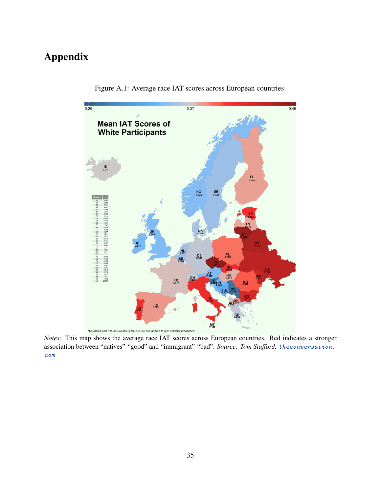# Appendix



Figure A.1: Average race IAT scores across European countries

*Notes:* This map shows the average race IAT scores across European countries. Red indicates a stronger association between "natives"-"good" and "immigrant"-"bad". *Source: Tom Stafford,* [theconversation.](theconversation.com) [com](theconversation.com)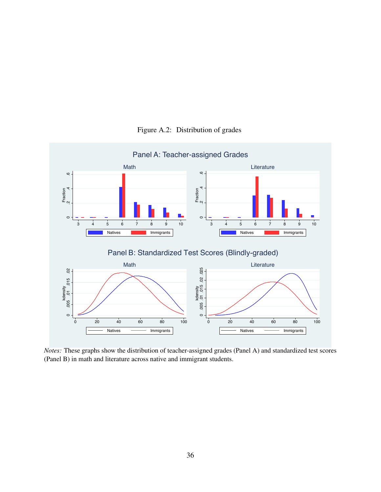

Figure A.2: Distribution of grades

*Notes:* These graphs show the distribution of teacher-assigned grades (Panel A) and standardized test scores (Panel B) in math and literature across native and immigrant students.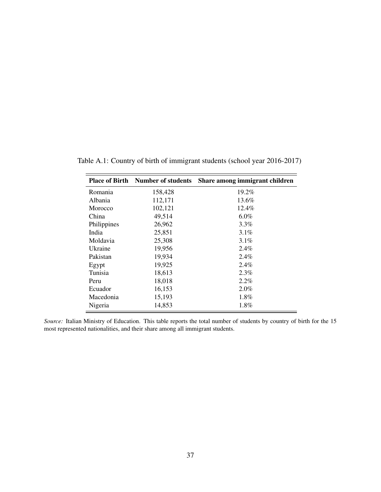|             | <b>Place of Birth Number of students</b> | Share among immigrant children |
|-------------|------------------------------------------|--------------------------------|
| Romania     | 158,428                                  | 19.2%                          |
| Albania     | 112,171                                  | 13.6%                          |
| Morocco     | 102,121                                  | 12.4%                          |
| China       | 49,514                                   | 6.0%                           |
| Philippines | 26,962                                   | $3.3\%$                        |
| India       | 25,851                                   | $3.1\%$                        |
| Moldavia    | 25,308                                   | $3.1\%$                        |
| Ukraine     | 19,956                                   | $2.4\%$                        |
| Pakistan    | 19,934                                   | 2.4%                           |
| Egypt       | 19,925                                   | $2.4\%$                        |
| Tunisia     | 18,613                                   | 2.3%                           |
| Peru        | 18,018                                   | 2.2%                           |
| Ecuador     | 16,153                                   | $2.0\%$                        |
| Macedonia   | 15,193                                   | $1.8\%$                        |
| Nigeria     | 14,853                                   | 1.8%                           |

Table A.1: Country of birth of immigrant students (school year 2016-2017)

*Source:* Italian Ministry of Education. This table reports the total number of students by country of birth for the 15 most represented nationalities, and their share among all immigrant students.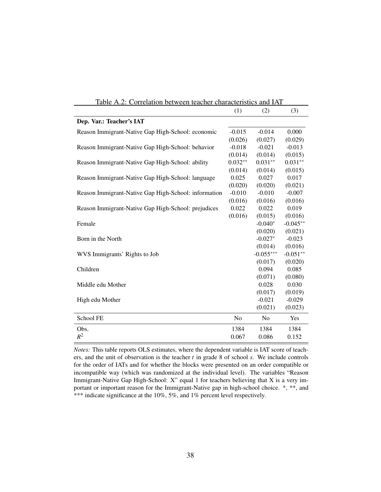|                                                      | (1)       | (2)            | (3)        |
|------------------------------------------------------|-----------|----------------|------------|
| Dep. Var.: Teacher's IAT                             |           |                |            |
| Reason Immigrant-Native Gap High-School: economic    | $-0.015$  | $-0.014$       | 0.000      |
|                                                      | (0.026)   | (0.027)        | (0.029)    |
| Reason Immigrant-Native Gap High-School: behavior    | $-0.018$  | $-0.021$       | $-0.013$   |
|                                                      | (0.014)   | (0.014)        | (0.015)    |
| Reason Immigrant-Native Gap High-School: ability     | $0.032**$ | $0.031**$      | $0.031**$  |
|                                                      | (0.014)   | (0.014)        | (0.015)    |
| Reason Immigrant-Native Gap High-School: language    | 0.025     | 0.027          | 0.017      |
|                                                      | (0.020)   | (0.020)        | (0.021)    |
| Reason Immigrant-Native Gap High-School: information | $-0.010$  | $-0.010$       | $-0.007$   |
|                                                      | (0.016)   | (0.016)        | (0.016)    |
| Reason Immigrant-Native Gap High-School: prejudices  | 0.022     | 0.022          | 0.019      |
|                                                      | (0.016)   | (0.015)        | (0.016)    |
| Female                                               |           | $-0.040*$      | $-0.045**$ |
|                                                      |           | (0.020)        | (0.021)    |
| Born in the North                                    |           | $-0.027*$      | $-0.023$   |
|                                                      |           | (0.014)        | (0.016)    |
| WVS Immigrants' Rights to Job                        |           | $-0.055***$    | $-0.051**$ |
|                                                      |           | (0.017)        | (0.020)    |
| Children                                             |           | 0.094          | 0.085      |
|                                                      |           | (0.071)        | (0.080)    |
| Middle edu Mother                                    |           | 0.028          | 0.030      |
|                                                      |           | (0.017)        | (0.019)    |
| High edu Mother                                      |           | $-0.021$       | $-0.029$   |
|                                                      |           | (0.021)        | (0.023)    |
| School FE                                            | No        | N <sub>0</sub> | Yes        |
| Obs.                                                 | 1384      | 1384           | 1384       |
| $R^2$                                                | 0.067     | 0.086          | 0.152      |

Table A.2: Correlation between teacher characteristics and IAT

*Notes:* This table reports OLS estimates, where the dependent variable is IAT score of teachers, and the unit of observation is the teacher *t* in grade 8 of school *s*. We include controls for the order of IATs and for whether the blocks were presented on an order compatible or incompatible way (which was randomized at the individual level). The variables "Reason Immigrant-Native Gap High-School: X" equal 1 for teachers believing that X is a very important or important reason for the Immigrant-Native gap in high-school choice. \*, \*\*, and \*\*\* indicate significance at the 10%, 5%, and 1% percent level respectively.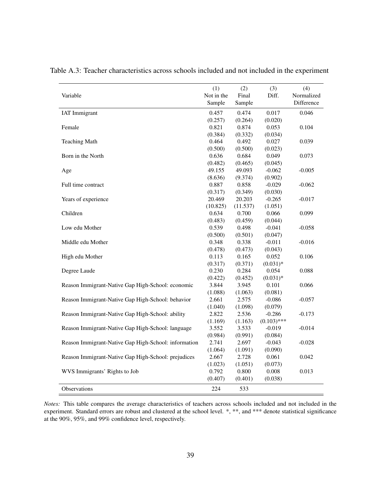| Variable                                             | (1)<br>Not in the<br>Sample | (2)<br>Final<br>Sample | (3)<br>Diff.  | (4)<br>Normalized<br>Difference |
|------------------------------------------------------|-----------------------------|------------------------|---------------|---------------------------------|
| <b>IAT</b> Immigrant                                 | 0.457                       | 0.474                  | 0.017         | 0.046                           |
|                                                      | (0.257)                     | (0.264)                | (0.020)       |                                 |
| Female                                               | 0.821                       | 0.874                  | 0.053         | 0.104                           |
|                                                      | (0.384)                     | (0.332)                | (0.034)       |                                 |
| <b>Teaching Math</b>                                 | 0.464                       | 0.492                  | 0.027         | 0.039                           |
|                                                      | (0.500)                     | (0.500)                | (0.023)       |                                 |
| Born in the North                                    | 0.636                       | 0.684                  | 0.049         | 0.073                           |
|                                                      | (0.482)                     | (0.465)                | (0.045)       |                                 |
| Age                                                  | 49.155                      | 49.093                 | $-0.062$      | $-0.005$                        |
|                                                      | (8.636)                     | (9.374)                | (0.902)       |                                 |
| Full time contract                                   | 0.887                       | 0.858                  | $-0.029$      | $-0.062$                        |
|                                                      | (0.317)                     | (0.349)                | (0.030)       |                                 |
| Years of experience                                  | 20.469                      | 20.203                 | $-0.265$      | $-0.017$                        |
|                                                      | (10.825)                    | (11.537)               | (1.051)       |                                 |
| Children                                             | 0.634                       | 0.700                  | 0.066         | 0.099                           |
|                                                      | (0.483)                     | (0.459)                | (0.044)       |                                 |
| Low edu Mother                                       | 0.539                       | 0.498                  | $-0.041$      | $-0.058$                        |
|                                                      | (0.500)                     | (0.501)                | (0.047)       |                                 |
| Middle edu Mother                                    | 0.348                       | 0.338                  | $-0.011$      | $-0.016$                        |
|                                                      | (0.478)                     | (0.473)                | (0.043)       |                                 |
| High edu Mother                                      | 0.113                       | 0.165                  | 0.052         | 0.106                           |
|                                                      | (0.317)                     | (0.371)                | $(0.031)*$    |                                 |
| Degree Laude                                         | 0.230                       | 0.284                  | 0.054         | 0.088                           |
|                                                      | (0.422)                     | (0.452)                | $(0.031)*$    |                                 |
| Reason Immigrant-Native Gap High-School: economic    | 3.844                       | 3.945                  | 0.101         | 0.066                           |
|                                                      | (1.088)                     | (1.063)                | (0.081)       |                                 |
| Reason Immigrant-Native Gap High-School: behavior    | 2.661                       | 2.575                  | $-0.086$      | $-0.057$                        |
|                                                      | (1.040)                     | (1.098)                | (0.079)       |                                 |
| Reason Immigrant-Native Gap High-School: ability     | 2.822                       | 2.536                  | $-0.286$      | $-0.173$                        |
|                                                      | (1.169)                     | (1.163)                | $(0.103)$ *** |                                 |
| Reason Immigrant-Native Gap High-School: language    | 3.552                       | 3.533                  | $-0.019$      | $-0.014$                        |
|                                                      | (0.984)                     | (0.991)                | (0.084)       |                                 |
| Reason Immigrant-Native Gap High-School: information | 2.741                       | 2.697                  | $-0.043$      | $-0.028$                        |
|                                                      | (1.064)                     | (1.091)                | (0.090)       |                                 |
| Reason Immigrant-Native Gap High-School: prejudices  | 2.667                       | 2.728                  | 0.061         | 0.042                           |
|                                                      | (1.023)                     | (1.051)                | (0.073)       |                                 |
| WVS Immigrants' Rights to Job                        | 0.792                       | 0.800                  | 0.008         | 0.013                           |
|                                                      | (0.407)                     | (0.401)                | (0.038)       |                                 |
| Observations                                         | 224                         | 533                    |               |                                 |

Table A.3: Teacher characteristics across schools included and not included in the experiment

*Notes:* This table compares the average characteristics of teachers across schools included and not included in the experiment. Standard errors are robust and clustered at the school level. \*, \*\*, and \*\*\* denote statistical significance at the 90%, 95%, and 99% confidence level, respectively.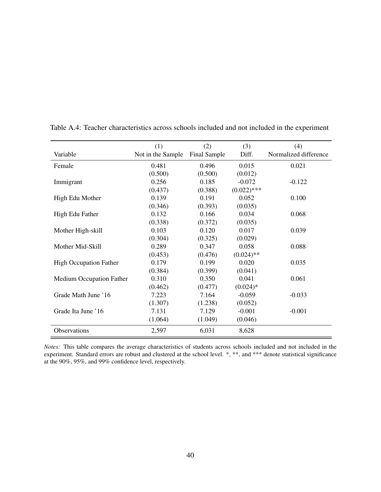|                                 | (1)               | (2)          | (3)           | (4)                   |  |
|---------------------------------|-------------------|--------------|---------------|-----------------------|--|
| Variable                        | Not in the Sample | Final Sample | Diff.         | Normalized difference |  |
| Female                          | 0.481             | 0.496        | 0.015         | 0.021                 |  |
|                                 | (0.500)           | (0.500)      | (0.012)       |                       |  |
| Immigrant                       | 0.256             | 0.185        | $-0.072$      | $-0.122$              |  |
|                                 | (0.437)           | (0.388)      | $(0.022)$ *** |                       |  |
| High Edu Mother                 | 0.139             | 0.191        | 0.052         | 0.100                 |  |
|                                 | (0.346)           | (0.393)      | (0.035)       |                       |  |
| High Edu Father                 | 0.132             | 0.166        | 0.034         | 0.068                 |  |
|                                 | (0.338)           | (0.372)      | (0.035)       |                       |  |
| Mother High-skill               | 0.103             | 0.120        | 0.017         | 0.039                 |  |
|                                 | (0.304)           | (0.325)      | (0.029)       |                       |  |
| Mother Mid-Skill                | 0.289             | 0.347        | 0.058         | 0.088                 |  |
|                                 | (0.453)           | (0.476)      | $(0.024)$ **  |                       |  |
| <b>High Occupation Father</b>   | 0.179             | 0.199        | 0.020         | 0.035                 |  |
|                                 | (0.384)           | (0.399)      | (0.041)       |                       |  |
| <b>Medium Occupation Father</b> | 0.310             | 0.350        | 0.041         | 0.061                 |  |
|                                 | (0.462)           | (0.477)      | $(0.024)*$    |                       |  |
| Grade Math June '16             | 7.223             | 7.164        | $-0.059$      | $-0.033$              |  |
|                                 | (1.307)           | (1.238)      | (0.052)       |                       |  |
| Grade Ita June '16              | 7.131             | 7.129        | $-0.001$      | $-0.001$              |  |
|                                 | (1.064)           | (1.049)      | (0.046)       |                       |  |
| Observations                    | 2,597             | 6,031        | 8,628         |                       |  |

Table A.4: Teacher characteristics across schools included and not included in the experiment

*Notes:* This table compares the average characteristics of students across schools included and not included in the experiment. Standard errors are robust and clustered at the school level. \*, \*\*, and \*\*\* denote statistical significance at the 90%, 95%, and 99% confidence level, respectively.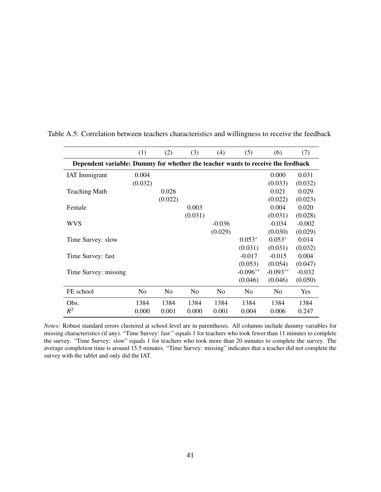|                                                                                 | (1)            | (2)     | (3)            | (4)            | (5)            | (6)            | (7)        |
|---------------------------------------------------------------------------------|----------------|---------|----------------|----------------|----------------|----------------|------------|
| Dependent variable: Dummy for whether the teacher wants to receive the feedback |                |         |                |                |                |                |            |
| <b>IAT</b> Immigrant                                                            | 0.004          |         |                |                |                | 0.000          | 0.031      |
|                                                                                 | (0.032)        |         |                |                |                | (0.033)        | (0.032)    |
| <b>Teaching Math</b>                                                            |                | 0.026   |                |                |                | 0.021          | 0.029      |
|                                                                                 |                | (0.022) |                |                |                | (0.022)        | (0.023)    |
| Female                                                                          |                |         | 0.003          |                |                | 0.004          | 0.020      |
|                                                                                 |                |         | (0.031)        |                |                | (0.031)        | (0.028)    |
| wvs                                                                             |                |         |                | $-0.036$       |                | $-0.034$       | $-0.002$   |
|                                                                                 |                |         |                | (0.029)        |                | (0.030)        | (0.029)    |
| Time Survey: slow                                                               |                |         |                |                | $0.053*$       | $0.053*$       | 0.014      |
|                                                                                 |                |         |                |                | (0.031)        | (0.031)        | (0.032)    |
| Time Survey: fast                                                               |                |         |                |                | $-0.017$       | $-0.015$       | 0.004      |
|                                                                                 |                |         |                |                | (0.053)        | (0.054)        | (0.047)    |
| Time Survey: missing                                                            |                |         |                |                | $-0.096**$     | $-0.093**$     | $-0.032$   |
|                                                                                 |                |         |                |                | (0.046)        | (0.046)        | (0.050)    |
| FE school                                                                       | N <sub>0</sub> | No      | N <sub>0</sub> | N <sub>0</sub> | N <sub>0</sub> | N <sub>0</sub> | <b>Yes</b> |
| Obs.                                                                            | 1384           | 1384    | 1384           | 1384           | 1384           | 1384           | 1384       |
| $R^2$                                                                           | 0.000          | 0.001   | 0.000          | 0.001          | 0.004          | 0.006          | 0.247      |

Table A.5: Correlation between teachers characteristics and willingness to receive the feedback

*Notes:* Robust standard errors clustered at school level are in parentheses. All columns include dummy variables for missing characteristics (if any). "Time Survey: fast " equals 1 for teachers who took fewer than 11 minutes to complete the survey. "Time Survey: slow" equals 1 for teachers who took more than 20 minutes to complete the survey. The average completion time is around 15.5 minutes. "Time Survey: missing" indicates that a teacher did not complete the survey with the tablet and only did the IAT.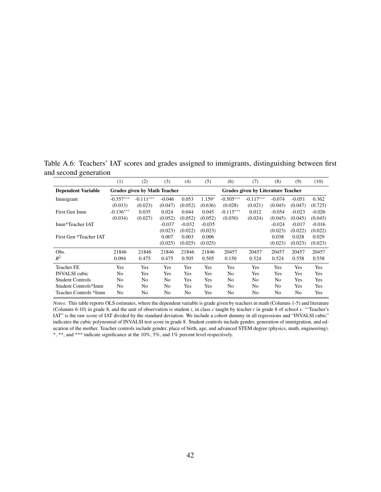Table A.6: Teachers' IAT scores and grades assigned to immigrants, distinguishing between first and second generation

|                           | $^{(1)}$                            | (2)         | (3)            | (4)      | (5)                                       | (6)         | (7)         | (8)      | (9)      | (10)     |
|---------------------------|-------------------------------------|-------------|----------------|----------|-------------------------------------------|-------------|-------------|----------|----------|----------|
| <b>Dependent Variable</b> | <b>Grades given by Math Teacher</b> |             |                |          | <b>Grades given by Literature Teacher</b> |             |             |          |          |          |
| Immigrant                 | $-0.357***$                         | $-0.111***$ | $-0.046$       | 0.053    | $1.159*$                                  | $-0.505***$ | $-0.117***$ | $-0.074$ | $-0.051$ | 0.362    |
|                           | (0.033)                             | (0.023)     | (0.047)        | (0.052)  | (0.636)                                   | (0.028)     | (0.021)     | (0.045)  | (0.047)  | (0.725)  |
| First Gen Imm             | $-0.136***$                         | 0.035       | 0.024          | 0.044    | 0.045                                     | $-0.115***$ | 0.012       | $-0.054$ | $-0.023$ | $-0.026$ |
|                           | (0.034)                             | (0.027)     | (0.052)        | (0.052)  | (0.052)                                   | (0.030)     | (0.024)     | (0.045)  | (0.045)  | (0.045)  |
| Imm*Teacher IAT           |                                     |             | $-0.037$       | $-0.032$ | $-0.035$                                  |             |             | $-0.024$ | $-0.017$ | $-0.016$ |
|                           |                                     |             | (0.023)        | (0.022)  | (0.023)                                   |             |             | (0.023)  | (0.022)  | (0.022)  |
| First Gen *Teacher IAT    |                                     |             | 0.007          | 0.003    | 0.006                                     |             |             | 0.038    | 0.028    | 0.029    |
|                           |                                     |             | (0.025)        | (0.025)  | (0.025)                                   |             |             | (0.023)  | (0.023)  | (0.023)  |
| Obs.                      | 21846                               | 21846       | 21846          | 21846    | 21846                                     | 20457       | 20457       | 20457    | 20457    | 20457    |
| $R^2$                     | 0.094                               | 0.475       | 0.475          | 0.505    | 0.505                                     | 0.150       | 0.524       | 0.524    | 0.558    | 0.558    |
| <b>Teacher FE</b>         | Yes                                 | Yes         | Yes            | Yes      | Yes                                       | Yes         | <b>Yes</b>  | Yes      | Yes      | Yes      |
| <b>INVALSI</b> cubic      | N <sub>0</sub>                      | Yes         | Yes            | Yes      | Yes                                       | No          | Yes         | Yes      | Yes      | Yes      |
| <b>Student Controls</b>   | N <sub>0</sub>                      | No          | N <sub>0</sub> | Yes      | Yes                                       | No          | No          | No       | Yes      | Yes      |
| Student Controls*Imm      | N <sub>0</sub>                      | No          | N <sub>0</sub> | Yes      | Yes                                       | No          | No          | No       | Yes      | Yes      |
| Teacher Controls *Imm     | N <sub>0</sub>                      | No          | N <sub>0</sub> | No       | Yes                                       | No          | No          | No       | No       | Yes      |

*Notes:* This table reports OLS estimates, where the dependent variable is grade given by teachers in math (Columns 1-5) and literature (Columns 6-10) in grade 8, and the unit of observation is student *<sup>i</sup>*, in class *<sup>c</sup>* taught by teacher *<sup>t</sup>* in grade 8 of school *<sup>s</sup>*. "'Teacher's IAT" is the raw score of IAT divided by the standard deviation. We include a cohort dummy in all regressions and "INVALSI cubic" indicates the cubic polynomial of INVALSI test score in grade 8. Student controls include gender, generation of immigration, and education of the mother. Teacher controls include gender, place of birth, age, and advanced STEM degree (physics, math, engineering). \*, \*\*, and \*\*\* indicate significance at the 10%, 5%, and 1% percent level respectively.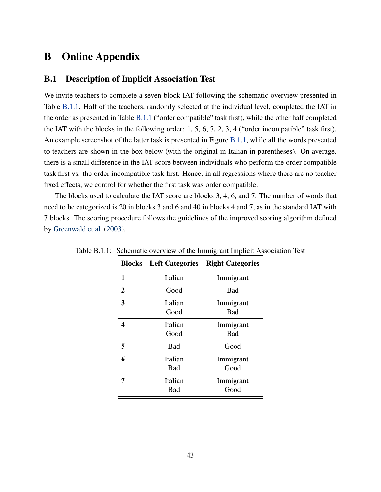## B Online Appendix

## B.1 Description of Implicit Association Test

We invite teachers to complete a seven-block IAT following the schematic overview presented in Table [B.1.1.](#page-29-0) Half of the teachers, randomly selected at the individual level, completed the IAT in the order as presented in Table [B.1.1](#page-29-0) ("order compatible" task first), while the other half completed the IAT with the blocks in the following order: 1, 5, 6, 7, 2, 3, 4 ("order incompatible" task first). An example screenshot of the latter task is presented in Figure [B.1.1,](#page-25-0) while all the words presented to teachers are shown in the box below (with the original in Italian in parentheses). On average, there is a small difference in the IAT score between individuals who perform the order compatible task first vs. the order incompatible task first. Hence, in all regressions where there are no teacher fixed effects, we control for whether the first task was order compatible.

The blocks used to calculate the IAT score are blocks 3, 4, 6, and 7. The number of words that need to be categorized is 20 in blocks 3 and 6 and 40 in blocks 4 and 7, as in the standard IAT with 7 blocks. The scoring procedure follows the guidelines of the improved scoring algorithm defined by [Greenwald et al.](#page-22-12) [\(2003\)](#page-22-12).

| <b>Blocks</b>  | <b>Left Categories</b> | <b>Right Categories</b> |
|----------------|------------------------|-------------------------|
| 1              | Italian                | Immigrant               |
| $\overline{2}$ | Good                   | <b>Bad</b>              |
| 3              | Italian<br>Good        | Immigrant<br>Bad        |
| 4              | Italian<br>Good        | Immigrant<br>Bad        |
| 5              | Bad                    | Good                    |
| 6              | Italian<br>Bad         | Immigrant<br>Good       |
|                | Italian<br>Bad         | Immigrant<br>Good       |

Table B.1.1: Schematic overview of the Immigrant Implicit Association Test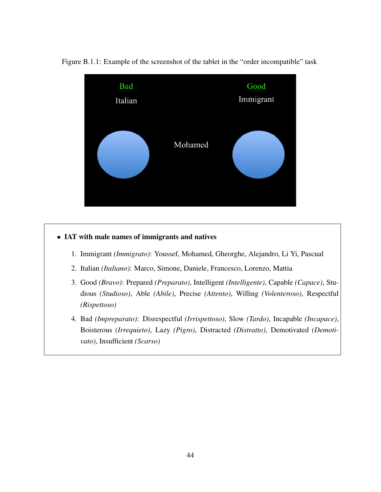

Figure B.1.1: Example of the screenshot of the tablet in the "order incompatible" task

## • IAT with male names of immigrants and natives

- 1. Immigrant *(Immigrato)*: Youssef, Mohamed, Gheorghe, Alejandro, Li Yi, Pascual
- 2. Italian *(Italiano)*: Marco, Simone, Daniele, Francesco, Lorenzo, Mattia
- 3. Good *(Bravo)*: Prepared *(Preparato)*, Intelligent *(Intelligente)*, Capable *(Capace)*, Studious *(Studioso)*, Able *(Abile)*, Precise *(Attento)*, Willing *(Volenteroso)*, Respectful *(Rispettoso)*
- 4. Bad *(Impreparato)*: Disrespectful *(Irrispettoso)*, Slow *(Tardo)*, Incapable *(Incapace)*, Boisterous *(Irrequieto)*, Lazy *(Pigro)*, Distracted *(Distratto)*, Demotivated *(Demotivato)*, Insufficient *(Scarso)*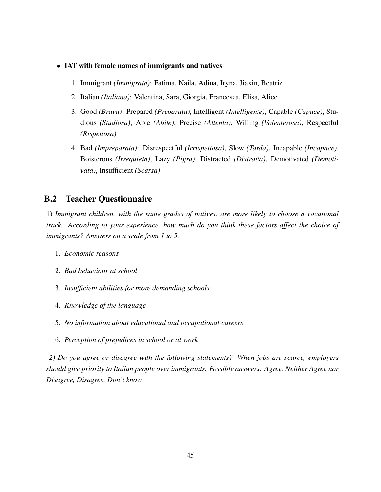- IAT with female names of immigrants and natives
	- 1. Immigrant *(Immigrata)*: Fatima, Naila, Adina, Iryna, Jiaxin, Beatriz
	- 2. Italian *(Italiana)*: Valentina, Sara, Giorgia, Francesca, Elisa, Alice
	- 3. Good *(Brava)*: Prepared *(Preparata)*, Intelligent *(Intelligente)*, Capable *(Capace)*, Studious *(Studiosa)*, Able *(Abile)*, Precise *(Attenta)*, Willing *(Volenterosa)*, Respectful *(Rispettosa)*
	- 4. Bad *(Impreparata)*: Disrespectful *(Irrispettosa)*, Slow *(Tarda)*, Incapable *(Incapace)*, Boisterous *(Irrequieta)*, Lazy *(Pigra)*, Distracted *(Distratta)*, Demotivated *(Demotivata)*, Insufficient *(Scarsa)*

## <span id="page-46-0"></span>B.2 Teacher Questionnaire

1) *Immigrant children, with the same grades of natives, are more likely to choose a vocational track. According to your experience, how much do you think these factors affect the choice of immigrants? Answers on a scale from 1 to 5.*

- 1. *Economic reasons*
- 2. *Bad behaviour at school*
- 3. *Insufficient abilities for more demanding schools*
- 4. *Knowledge of the language*
- 5. *No information about educational and occupational careers*
- 6. *Perception of prejudices in school or at work*

*2) Do you agree or disagree with the following statements? When jobs are scarce, employers should give priority to Italian people over immigrants. Possible answers: Agree, Neither Agree nor Disagree, Disagree, Don't know*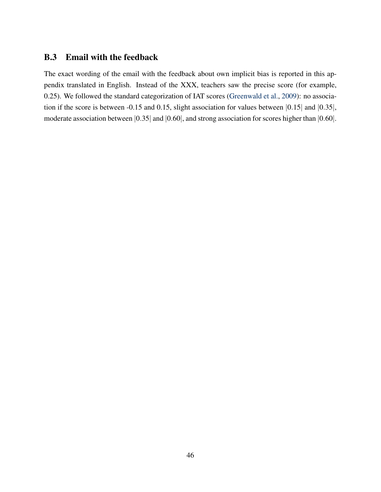## <span id="page-47-0"></span>B.3 Email with the feedback

The exact wording of the email with the feedback about own implicit bias is reported in this appendix translated in English. Instead of the XXX, teachers saw the precise score (for example, 0.25). We followed the standard categorization of IAT scores [\(Greenwald et al.,](#page-22-2) [2009\)](#page-22-2): no association if the score is between -0.15 and 0.15, slight association for values between |0.15| and |0.35|, moderate association between  $|0.35|$  and  $|0.60|$ , and strong association for scores higher than  $|0.60|$ .